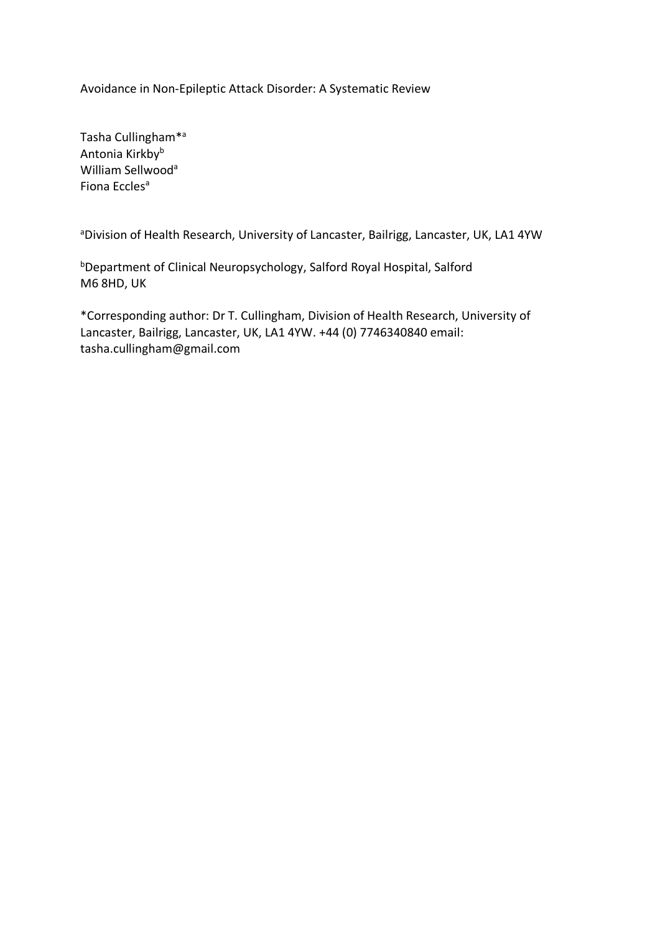Avoidance in Non-Epileptic Attack Disorder: A Systematic Review

Tasha Cullingham\*a Antonia Kirkbyb William Sellwood<sup>a</sup> Fiona Eccles<sup>a</sup>

<sup>a</sup>Division of Health Research, University of Lancaster, Bailrigg, Lancaster, UK, LA1 4YW

bDepartment of Clinical Neuropsychology, Salford Royal Hospital, Salford M6 8HD, UK

\*Corresponding author: Dr T. Cullingham, Division of Health Research, University of Lancaster, Bailrigg, Lancaster, UK, LA1 4YW. +44 (0) 7746340840 email: tasha.cullingham@gmail.com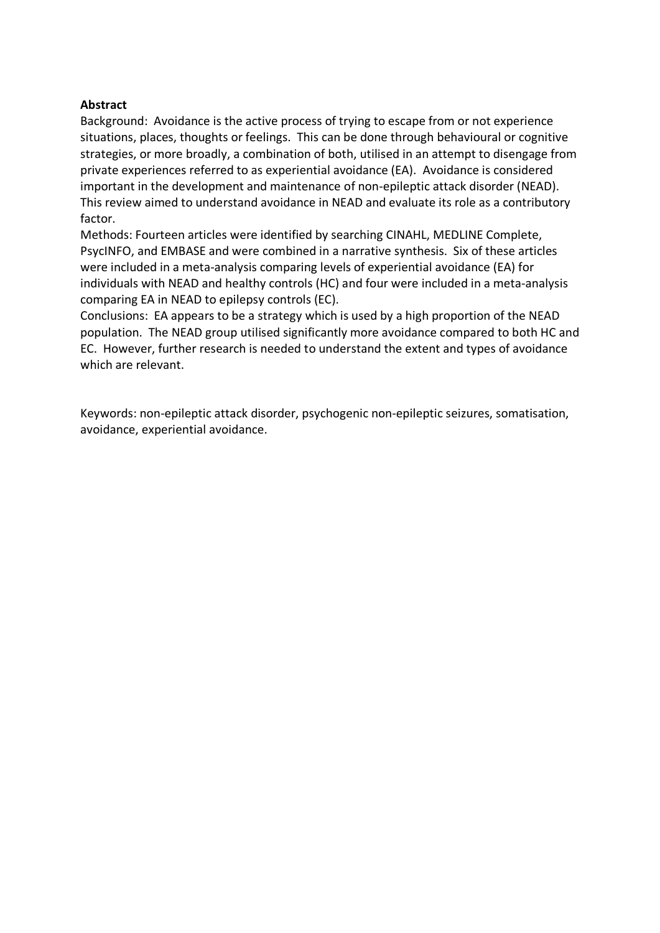### **Abstract**

Background: Avoidance is the active process of trying to escape from or not experience situations, places, thoughts or feelings. This can be done through behavioural or cognitive strategies, or more broadly, a combination of both, utilised in an attempt to disengage from private experiences referred to as experiential avoidance (EA). Avoidance is considered important in the development and maintenance of non-epileptic attack disorder (NEAD). This review aimed to understand avoidance in NEAD and evaluate its role as a contributory factor.

Methods: Fourteen articles were identified by searching CINAHL, MEDLINE Complete, PsycINFO, and EMBASE and were combined in a narrative synthesis. Six of these articles were included in a meta-analysis comparing levels of experiential avoidance (EA) for individuals with NEAD and healthy controls (HC) and four were included in a meta-analysis comparing EA in NEAD to epilepsy controls (EC).

Conclusions: EA appears to be a strategy which is used by a high proportion of the NEAD population. The NEAD group utilised significantly more avoidance compared to both HC and EC. However, further research is needed to understand the extent and types of avoidance which are relevant.

Keywords: non-epileptic attack disorder, psychogenic non-epileptic seizures, somatisation, avoidance, experiential avoidance.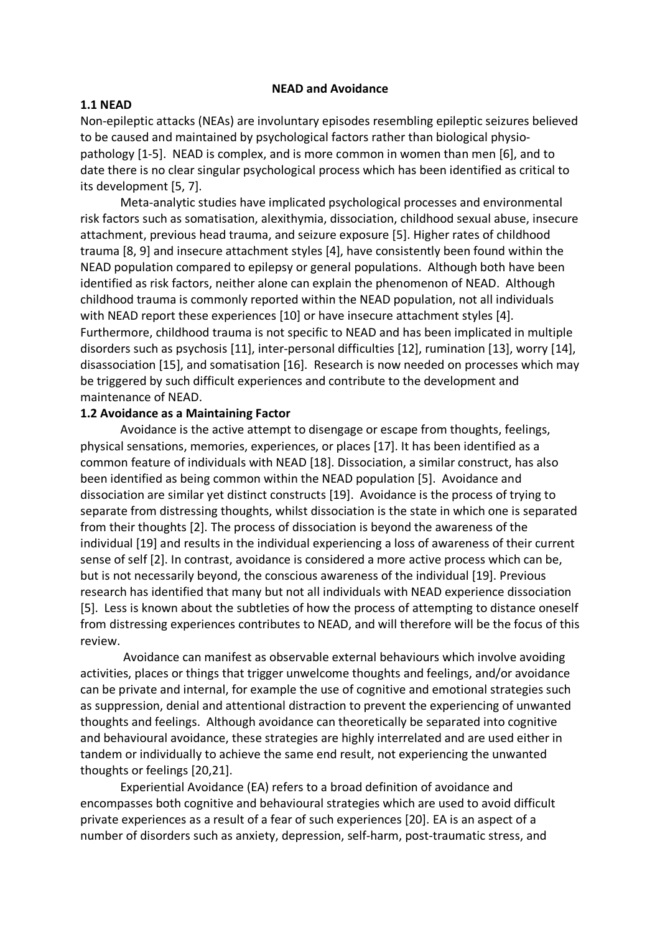#### **NEAD and Avoidance**

#### **1.1 NEAD**

Non-epileptic attacks (NEAs) are involuntary episodes resembling epileptic seizures believed to be caused and maintained by psychological factors rather than biological physiopathology [1-5]. NEAD is complex, and is more common in women than men [6], and to date there is no clear singular psychological process which has been identified as critical to its development [5, 7].

Meta-analytic studies have implicated psychological processes and environmental risk factors such as somatisation, alexithymia, dissociation, childhood sexual abuse, insecure attachment, previous head trauma, and seizure exposure [5]. Higher rates of childhood trauma [8, 9] and insecure attachment styles [4], have consistently been found within the NEAD population compared to epilepsy or general populations. Although both have been identified as risk factors, neither alone can explain the phenomenon of NEAD. Although childhood trauma is commonly reported within the NEAD population, not all individuals with NEAD report these experiences [10] or have insecure attachment styles [4]. Furthermore, childhood trauma is not specific to NEAD and has been implicated in multiple disorders such as psychosis [11], inter-personal difficulties [12], rumination [13], worry [14], disassociation [15], and somatisation [16]. Research is now needed on processes which may be triggered by such difficult experiences and contribute to the development and maintenance of NEAD.

### **1.2 Avoidance as a Maintaining Factor**

Avoidance is the active attempt to disengage or escape from thoughts, feelings, physical sensations, memories, experiences, or places [17]. It has been identified as a common feature of individuals with NEAD [18]. Dissociation, a similar construct, has also been identified as being common within the NEAD population [5]. Avoidance and dissociation are similar yet distinct constructs [19]. Avoidance is the process of trying to separate from distressing thoughts, whilst dissociation is the state in which one is separated from their thoughts [2]. The process of dissociation is beyond the awareness of the individual [19] and results in the individual experiencing a loss of awareness of their current sense of self [2]. In contrast, avoidance is considered a more active process which can be, but is not necessarily beyond, the conscious awareness of the individual [19]. Previous research has identified that many but not all individuals with NEAD experience dissociation [5]. Less is known about the subtleties of how the process of attempting to distance oneself from distressing experiences contributes to NEAD, and will therefore will be the focus of this review.

Avoidance can manifest as observable external behaviours which involve avoiding activities, places or things that trigger unwelcome thoughts and feelings, and/or avoidance can be private and internal, for example the use of cognitive and emotional strategies such as suppression, denial and attentional distraction to prevent the experiencing of unwanted thoughts and feelings. Although avoidance can theoretically be separated into cognitive and behavioural avoidance, these strategies are highly interrelated and are used either in tandem or individually to achieve the same end result, not experiencing the unwanted thoughts or feelings [20,21].

Experiential Avoidance (EA) refers to a broad definition of avoidance and encompasses both cognitive and behavioural strategies which are used to avoid difficult private experiences as a result of a fear of such experiences [20]. EA is an aspect of a number of disorders such as anxiety, depression, self-harm, post-traumatic stress, and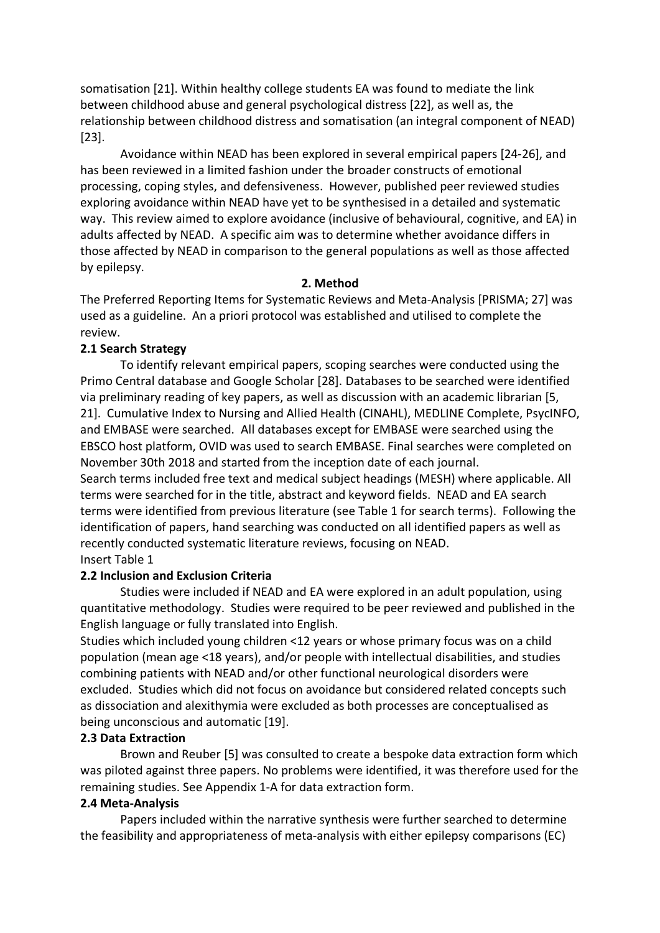somatisation [21]. Within healthy college students EA was found to mediate the link between childhood abuse and general psychological distress [22], as well as, the relationship between childhood distress and somatisation (an integral component of NEAD) [23].

Avoidance within NEAD has been explored in several empirical papers [24-26], and has been reviewed in a limited fashion under the broader constructs of emotional processing, coping styles, and defensiveness. However, published peer reviewed studies exploring avoidance within NEAD have yet to be synthesised in a detailed and systematic way. This review aimed to explore avoidance (inclusive of behavioural, cognitive, and EA) in adults affected by NEAD. A specific aim was to determine whether avoidance differs in those affected by NEAD in comparison to the general populations as well as those affected by epilepsy.

#### **2. Method**

The Preferred Reporting Items for Systematic Reviews and Meta-Analysis [PRISMA; 27] was used as a guideline. An a priori protocol was established and utilised to complete the review.

### **2.1 Search Strategy**

To identify relevant empirical papers, scoping searches were conducted using the Primo Central database and Google Scholar [28]. Databases to be searched were identified via preliminary reading of key papers, as well as discussion with an academic librarian [5, 21]. Cumulative Index to Nursing and Allied Health (CINAHL), MEDLINE Complete, PsycINFO, and EMBASE were searched. All databases except for EMBASE were searched using the EBSCO host platform, OVID was used to search EMBASE. Final searches were completed on November 30th 2018 and started from the inception date of each journal.

Search terms included free text and medical subject headings (MESH) where applicable. All terms were searched for in the title, abstract and keyword fields. NEAD and EA search terms were identified from previous literature (see Table 1 for search terms). Following the identification of papers, hand searching was conducted on all identified papers as well as recently conducted systematic literature reviews, focusing on NEAD.

# Insert Table 1

## **2.2 Inclusion and Exclusion Criteria**

Studies were included if NEAD and EA were explored in an adult population, using quantitative methodology. Studies were required to be peer reviewed and published in the English language or fully translated into English.

Studies which included young children <12 years or whose primary focus was on a child population (mean age <18 years), and/or people with intellectual disabilities, and studies combining patients with NEAD and/or other functional neurological disorders were excluded. Studies which did not focus on avoidance but considered related concepts such as dissociation and alexithymia were excluded as both processes are conceptualised as being unconscious and automatic [19].

#### **2.3 Data Extraction**

Brown and Reuber [5] was consulted to create a bespoke data extraction form which was piloted against three papers. No problems were identified, it was therefore used for the remaining studies. See Appendix 1-A for data extraction form.

### **2.4 Meta-Analysis**

Papers included within the narrative synthesis were further searched to determine the feasibility and appropriateness of meta-analysis with either epilepsy comparisons (EC)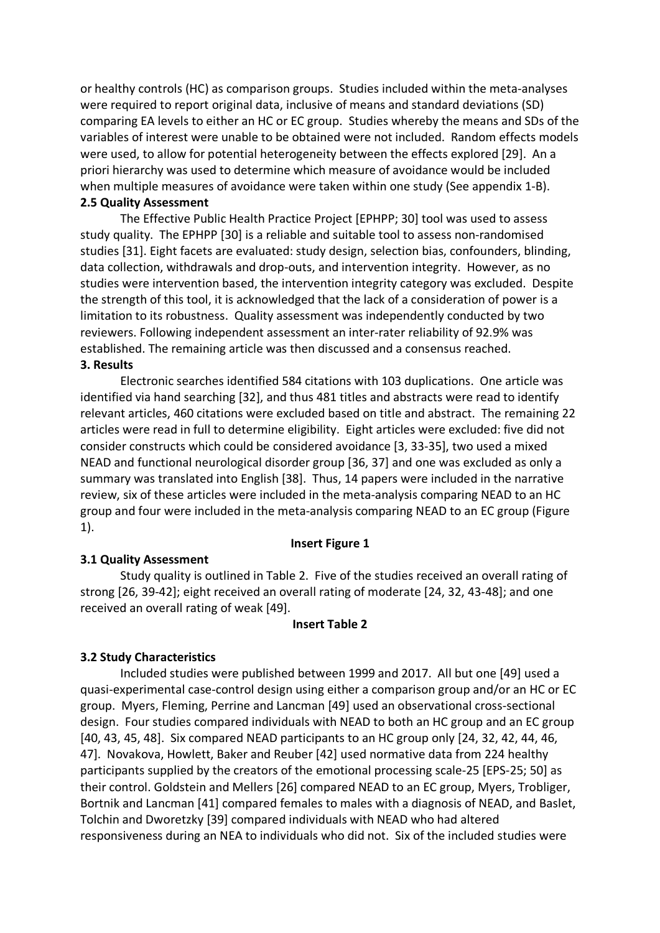or healthy controls (HC) as comparison groups. Studies included within the meta-analyses were required to report original data, inclusive of means and standard deviations (SD) comparing EA levels to either an HC or EC group. Studies whereby the means and SDs of the variables of interest were unable to be obtained were not included. Random effects models were used, to allow for potential heterogeneity between the effects explored [29]. An a priori hierarchy was used to determine which measure of avoidance would be included when multiple measures of avoidance were taken within one study (See appendix 1-B).

#### **2.5 Quality Assessment**

The Effective Public Health Practice Project [EPHPP; 30] tool was used to assess study quality. The EPHPP [30] is a reliable and suitable tool to assess non-randomised studies [31]. Eight facets are evaluated: study design, selection bias, confounders, blinding, data collection, withdrawals and drop-outs, and intervention integrity. However, as no studies were intervention based, the intervention integrity category was excluded. Despite the strength of this tool, it is acknowledged that the lack of a consideration of power is a limitation to its robustness. Quality assessment was independently conducted by two reviewers. Following independent assessment an inter-rater reliability of 92.9% was established. The remaining article was then discussed and a consensus reached. **3. Results**

Electronic searches identified 584 citations with 103 duplications. One article was identified via hand searching [32], and thus 481 titles and abstracts were read to identify relevant articles, 460 citations were excluded based on title and abstract. The remaining 22 articles were read in full to determine eligibility. Eight articles were excluded: five did not consider constructs which could be considered avoidance [3, 33-35], two used a mixed NEAD and functional neurological disorder group [36, 37] and one was excluded as only a summary was translated into English [38]. Thus, 14 papers were included in the narrative review, six of these articles were included in the meta-analysis comparing NEAD to an HC group and four were included in the meta-analysis comparing NEAD to an EC group (Figure 1).

#### **Insert Figure 1**

### **3.1 Quality Assessment**

Study quality is outlined in Table 2. Five of the studies received an overall rating of strong [26, 39-42]; eight received an overall rating of moderate [24, 32, 43-48]; and one received an overall rating of weak [49].

#### **Insert Table 2**

### **3.2 Study Characteristics**

Included studies were published between 1999 and 2017. All but one [49] used a quasi-experimental case-control design using either a comparison group and/or an HC or EC group. Myers, Fleming, Perrine and Lancman [49] used an observational cross-sectional design. Four studies compared individuals with NEAD to both an HC group and an EC group [40, 43, 45, 48]. Six compared NEAD participants to an HC group only [24, 32, 42, 44, 46, 47]. Novakova, Howlett, Baker and Reuber [42] used normative data from 224 healthy participants supplied by the creators of the emotional processing scale-25 [EPS-25; 50] as their control. Goldstein and Mellers [26] compared NEAD to an EC group, Myers, Trobliger, Bortnik and Lancman [41] compared females to males with a diagnosis of NEAD, and Baslet, Tolchin and Dworetzky [39] compared individuals with NEAD who had altered responsiveness during an NEA to individuals who did not. Six of the included studies were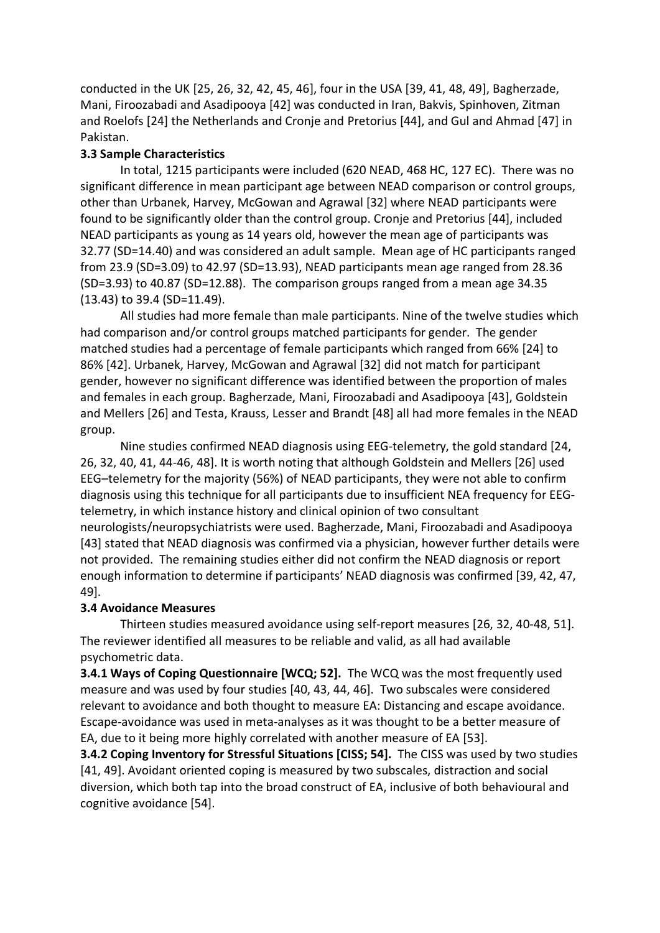conducted in the UK [25, 26, 32, 42, 45, 46], four in the USA [39, 41, 48, 49], Bagherzade, Mani, Firoozabadi and Asadipooya [42] was conducted in Iran, Bakvis, Spinhoven, Zitman and Roelofs [24] the Netherlands and Cronje and Pretorius [44], and Gul and Ahmad [47] in Pakistan.

## **3.3 Sample Characteristics**

In total, 1215 participants were included (620 NEAD, 468 HC, 127 EC). There was no significant difference in mean participant age between NEAD comparison or control groups, other than Urbanek, Harvey, McGowan and Agrawal [32] where NEAD participants were found to be significantly older than the control group. Cronje and Pretorius [44], included NEAD participants as young as 14 years old, however the mean age of participants was 32.77 (SD=14.40) and was considered an adult sample. Mean age of HC participants ranged from 23.9 (SD=3.09) to 42.97 (SD=13.93), NEAD participants mean age ranged from 28.36 (SD=3.93) to 40.87 (SD=12.88). The comparison groups ranged from a mean age 34.35 (13.43) to 39.4 (SD=11.49).

All studies had more female than male participants. Nine of the twelve studies which had comparison and/or control groups matched participants for gender. The gender matched studies had a percentage of female participants which ranged from 66% [24] to 86% [42]. Urbanek, Harvey, McGowan and Agrawal [32] did not match for participant gender, however no significant difference was identified between the proportion of males and females in each group. Bagherzade, Mani, Firoozabadi and Asadipooya [43], Goldstein and Mellers [26] and Testa, Krauss, Lesser and Brandt [48] all had more females in the NEAD group.

Nine studies confirmed NEAD diagnosis using EEG-telemetry, the gold standard [24, 26, 32, 40, 41, 44-46, 48]. It is worth noting that although Goldstein and Mellers [26] used EEG–telemetry for the majority (56%) of NEAD participants, they were not able to confirm diagnosis using this technique for all participants due to insufficient NEA frequency for EEGtelemetry, in which instance history and clinical opinion of two consultant neurologists/neuropsychiatrists were used. Bagherzade, Mani, Firoozabadi and Asadipooya [43] stated that NEAD diagnosis was confirmed via a physician, however further details were not provided. The remaining studies either did not confirm the NEAD diagnosis or report enough information to determine if participants' NEAD diagnosis was confirmed [39, 42, 47, 49].

### **3.4 Avoidance Measures**

Thirteen studies measured avoidance using self-report measures [26, 32, 40-48, 51]. The reviewer identified all measures to be reliable and valid, as all had available psychometric data.

**3.4.1 Ways of Coping Questionnaire [WCQ; 52].** The WCQ was the most frequently used measure and was used by four studies [40, 43, 44, 46]. Two subscales were considered relevant to avoidance and both thought to measure EA: Distancing and escape avoidance. Escape-avoidance was used in meta-analyses as it was thought to be a better measure of EA, due to it being more highly correlated with another measure of EA [53].

**3.4.2 Coping Inventory for Stressful Situations [CISS; 54].** The CISS was used by two studies [41, 49]. Avoidant oriented coping is measured by two subscales, distraction and social diversion, which both tap into the broad construct of EA, inclusive of both behavioural and cognitive avoidance [54].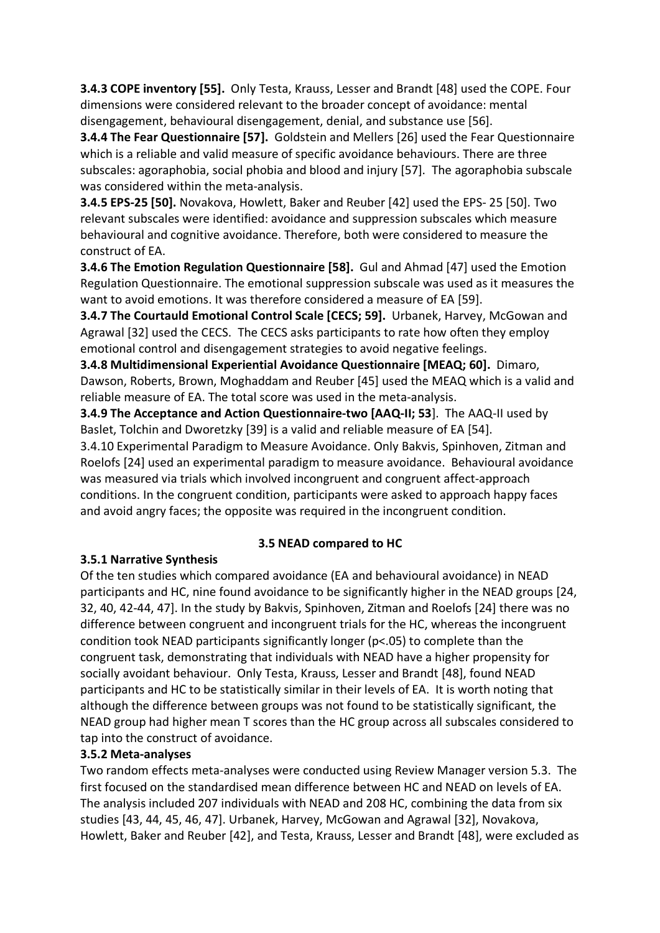**3.4.3 COPE inventory [55].** Only Testa, Krauss, Lesser and Brandt [48] used the COPE. Four dimensions were considered relevant to the broader concept of avoidance: mental disengagement, behavioural disengagement, denial, and substance use [56].

**3.4.4 The Fear Questionnaire [57].** Goldstein and Mellers [26] used the Fear Questionnaire which is a reliable and valid measure of specific avoidance behaviours. There are three subscales: agoraphobia, social phobia and blood and injury [57]. The agoraphobia subscale was considered within the meta-analysis.

**3.4.5 EPS-25 [50].** Novakova, Howlett, Baker and Reuber [42] used the EPS- 25 [50]. Two relevant subscales were identified: avoidance and suppression subscales which measure behavioural and cognitive avoidance. Therefore, both were considered to measure the construct of EA.

**3.4.6 The Emotion Regulation Questionnaire [58].** Gul and Ahmad [47] used the Emotion Regulation Questionnaire. The emotional suppression subscale was used as it measures the want to avoid emotions. It was therefore considered a measure of EA [59].

**3.4.7 The Courtauld Emotional Control Scale [CECS; 59].** Urbanek, Harvey, McGowan and Agrawal [32] used the CECS. The CECS asks participants to rate how often they employ emotional control and disengagement strategies to avoid negative feelings.

**3.4.8 Multidimensional Experiential Avoidance Questionnaire [MEAQ; 60].** Dimaro, Dawson, Roberts, Brown, Moghaddam and Reuber [45] used the MEAQ which is a valid and reliable measure of EA. The total score was used in the meta-analysis.

**3.4.9 The Acceptance and Action Questionnaire-two [AAQ-II; 53**]. The AAQ-II used by Baslet, Tolchin and Dworetzky [39] is a valid and reliable measure of EA [54].

3.4.10 Experimental Paradigm to Measure Avoidance. Only Bakvis, Spinhoven, Zitman and Roelofs [24] used an experimental paradigm to measure avoidance. Behavioural avoidance was measured via trials which involved incongruent and congruent affect-approach conditions. In the congruent condition, participants were asked to approach happy faces and avoid angry faces; the opposite was required in the incongruent condition.

## **3.5 NEAD compared to HC**

## **3.5.1 Narrative Synthesis**

Of the ten studies which compared avoidance (EA and behavioural avoidance) in NEAD participants and HC, nine found avoidance to be significantly higher in the NEAD groups [24, 32, 40, 42-44, 47]. In the study by Bakvis, Spinhoven, Zitman and Roelofs [24] there was no difference between congruent and incongruent trials for the HC, whereas the incongruent condition took NEAD participants significantly longer (p<.05) to complete than the congruent task, demonstrating that individuals with NEAD have a higher propensity for socially avoidant behaviour. Only Testa, Krauss, Lesser and Brandt [48], found NEAD participants and HC to be statistically similar in their levels of EA. It is worth noting that although the difference between groups was not found to be statistically significant, the NEAD group had higher mean T scores than the HC group across all subscales considered to tap into the construct of avoidance.

## **3.5.2 Meta-analyses**

Two random effects meta-analyses were conducted using Review Manager version 5.3. The first focused on the standardised mean difference between HC and NEAD on levels of EA. The analysis included 207 individuals with NEAD and 208 HC, combining the data from six studies [43, 44, 45, 46, 47]. Urbanek, Harvey, McGowan and Agrawal [32], Novakova, Howlett, Baker and Reuber [42], and Testa, Krauss, Lesser and Brandt [48], were excluded as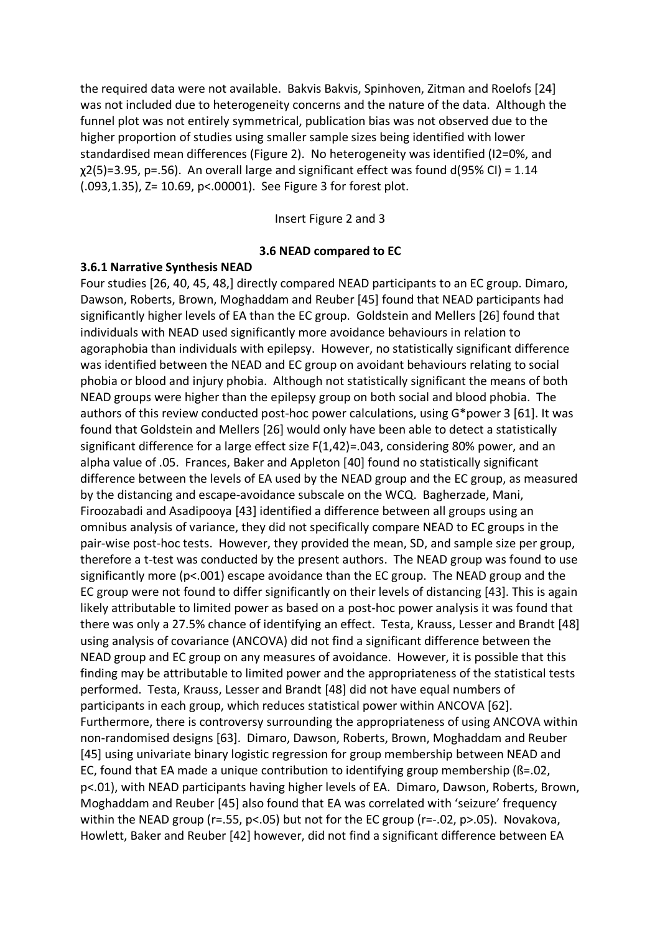the required data were not available. Bakvis Bakvis, Spinhoven, Zitman and Roelofs [24] was not included due to heterogeneity concerns and the nature of the data. Although the funnel plot was not entirely symmetrical, publication bias was not observed due to the higher proportion of studies using smaller sample sizes being identified with lower standardised mean differences (Figure 2). No heterogeneity was identified (I2=0%, and  $\chi$ 2(5)=3.95, p=.56). An overall large and significant effect was found d(95% CI) = 1.14 (.093,1.35), Z= 10.69, p<.00001). See Figure 3 for forest plot.

Insert Figure 2 and 3

#### **3.6 NEAD compared to EC**

#### **3.6.1 Narrative Synthesis NEAD**

Four studies [26, 40, 45, 48,] directly compared NEAD participants to an EC group. Dimaro, Dawson, Roberts, Brown, Moghaddam and Reuber [45] found that NEAD participants had significantly higher levels of EA than the EC group. Goldstein and Mellers [26] found that individuals with NEAD used significantly more avoidance behaviours in relation to agoraphobia than individuals with epilepsy. However, no statistically significant difference was identified between the NEAD and EC group on avoidant behaviours relating to social phobia or blood and injury phobia. Although not statistically significant the means of both NEAD groups were higher than the epilepsy group on both social and blood phobia. The authors of this review conducted post-hoc power calculations, using G\*power 3 [61]. It was found that Goldstein and Mellers [26] would only have been able to detect a statistically significant difference for a large effect size F(1,42)=.043, considering 80% power, and an alpha value of .05. Frances, Baker and Appleton [40] found no statistically significant difference between the levels of EA used by the NEAD group and the EC group, as measured by the distancing and escape-avoidance subscale on the WCQ. Bagherzade, Mani, Firoozabadi and Asadipooya [43] identified a difference between all groups using an omnibus analysis of variance, they did not specifically compare NEAD to EC groups in the pair-wise post-hoc tests. However, they provided the mean, SD, and sample size per group, therefore a t-test was conducted by the present authors. The NEAD group was found to use significantly more (p<.001) escape avoidance than the EC group. The NEAD group and the EC group were not found to differ significantly on their levels of distancing [43]. This is again likely attributable to limited power as based on a post-hoc power analysis it was found that there was only a 27.5% chance of identifying an effect. Testa, Krauss, Lesser and Brandt [48] using analysis of covariance (ANCOVA) did not find a significant difference between the NEAD group and EC group on any measures of avoidance. However, it is possible that this finding may be attributable to limited power and the appropriateness of the statistical tests performed. Testa, Krauss, Lesser and Brandt [48] did not have equal numbers of participants in each group, which reduces statistical power within ANCOVA [62]. Furthermore, there is controversy surrounding the appropriateness of using ANCOVA within non-randomised designs [63]. Dimaro, Dawson, Roberts, Brown, Moghaddam and Reuber [45] using univariate binary logistic regression for group membership between NEAD and EC, found that EA made a unique contribution to identifying group membership (ß=.02, p<.01), with NEAD participants having higher levels of EA. Dimaro, Dawson, Roberts, Brown, Moghaddam and Reuber [45] also found that EA was correlated with 'seizure' frequency within the NEAD group (r=.55, p<.05) but not for the EC group (r=-.02, p>.05). Novakova, Howlett, Baker and Reuber [42] however, did not find a significant difference between EA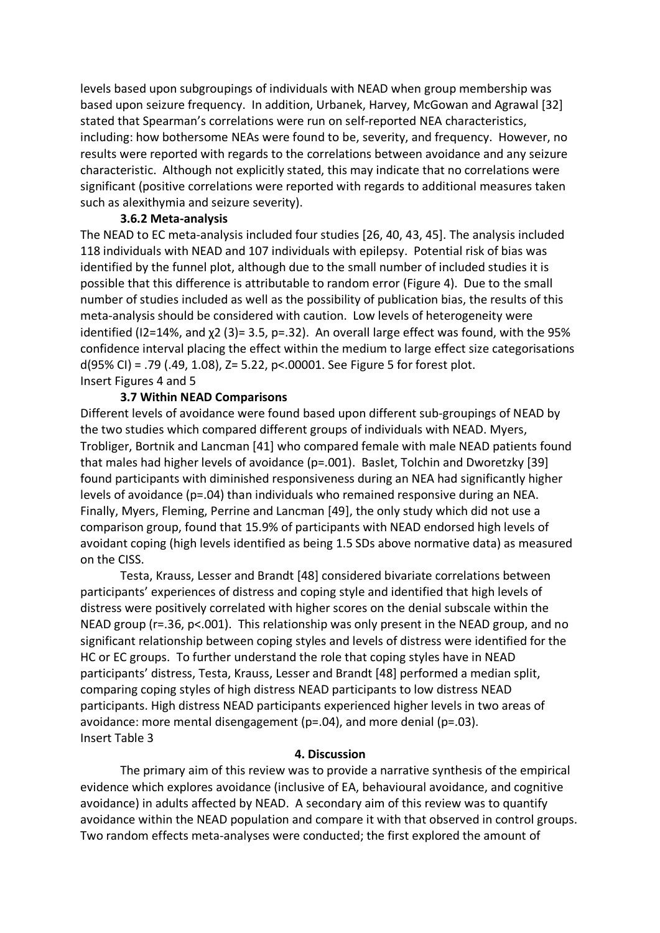levels based upon subgroupings of individuals with NEAD when group membership was based upon seizure frequency. In addition, Urbanek, Harvey, McGowan and Agrawal [32] stated that Spearman's correlations were run on self-reported NEA characteristics, including: how bothersome NEAs were found to be, severity, and frequency. However, no results were reported with regards to the correlations between avoidance and any seizure characteristic. Although not explicitly stated, this may indicate that no correlations were significant (positive correlations were reported with regards to additional measures taken such as alexithymia and seizure severity).

#### **3.6.2 Meta-analysis**

The NEAD to EC meta-analysis included four studies [26, 40, 43, 45]. The analysis included 118 individuals with NEAD and 107 individuals with epilepsy. Potential risk of bias was identified by the funnel plot, although due to the small number of included studies it is possible that this difference is attributable to random error (Figure 4). Due to the small number of studies included as well as the possibility of publication bias, the results of this meta-analysis should be considered with caution. Low levels of heterogeneity were identified (I2=14%, and χ2 (3)= 3.5, p=.32). An overall large effect was found, with the 95% confidence interval placing the effect within the medium to large effect size categorisations d(95% CI) = .79 (.49, 1.08), Z= 5.22, p<.00001. See Figure 5 for forest plot. Insert Figures 4 and 5

## **3.7 Within NEAD Comparisons**

Different levels of avoidance were found based upon different sub-groupings of NEAD by the two studies which compared different groups of individuals with NEAD. Myers, Trobliger, Bortnik and Lancman [41] who compared female with male NEAD patients found that males had higher levels of avoidance (p=.001). Baslet, Tolchin and Dworetzky [39] found participants with diminished responsiveness during an NEA had significantly higher levels of avoidance (p=.04) than individuals who remained responsive during an NEA. Finally, Myers, Fleming, Perrine and Lancman [49], the only study which did not use a comparison group, found that 15.9% of participants with NEAD endorsed high levels of avoidant coping (high levels identified as being 1.5 SDs above normative data) as measured on the CISS.

Testa, Krauss, Lesser and Brandt [48] considered bivariate correlations between participants' experiences of distress and coping style and identified that high levels of distress were positively correlated with higher scores on the denial subscale within the NEAD group (r=.36, p<.001). This relationship was only present in the NEAD group, and no significant relationship between coping styles and levels of distress were identified for the HC or EC groups. To further understand the role that coping styles have in NEAD participants' distress, Testa, Krauss, Lesser and Brandt [48] performed a median split, comparing coping styles of high distress NEAD participants to low distress NEAD participants. High distress NEAD participants experienced higher levels in two areas of avoidance: more mental disengagement (p=.04), and more denial (p=.03). Insert Table 3

### **4. Discussion**

The primary aim of this review was to provide a narrative synthesis of the empirical evidence which explores avoidance (inclusive of EA, behavioural avoidance, and cognitive avoidance) in adults affected by NEAD. A secondary aim of this review was to quantify avoidance within the NEAD population and compare it with that observed in control groups. Two random effects meta-analyses were conducted; the first explored the amount of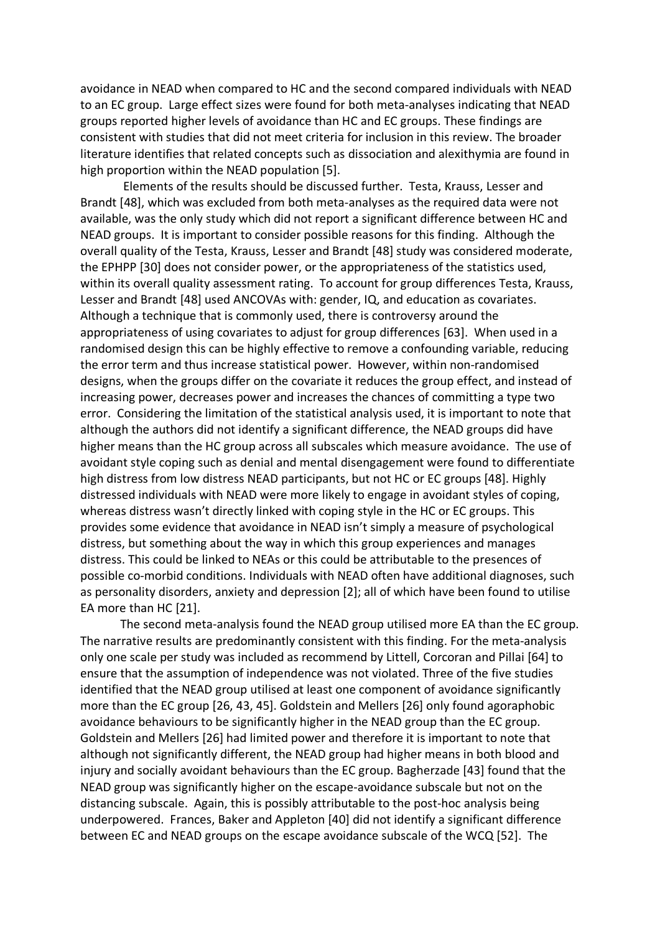avoidance in NEAD when compared to HC and the second compared individuals with NEAD to an EC group. Large effect sizes were found for both meta-analyses indicating that NEAD groups reported higher levels of avoidance than HC and EC groups. These findings are consistent with studies that did not meet criteria for inclusion in this review. The broader literature identifies that related concepts such as dissociation and alexithymia are found in high proportion within the NEAD population [5].

Elements of the results should be discussed further. Testa, Krauss, Lesser and Brandt [48], which was excluded from both meta-analyses as the required data were not available, was the only study which did not report a significant difference between HC and NEAD groups. It is important to consider possible reasons for this finding. Although the overall quality of the Testa, Krauss, Lesser and Brandt [48] study was considered moderate, the EPHPP [30] does not consider power, or the appropriateness of the statistics used, within its overall quality assessment rating. To account for group differences Testa, Krauss, Lesser and Brandt [48] used ANCOVAs with: gender, IQ, and education as covariates. Although a technique that is commonly used, there is controversy around the appropriateness of using covariates to adjust for group differences [63]. When used in a randomised design this can be highly effective to remove a confounding variable, reducing the error term and thus increase statistical power. However, within non-randomised designs, when the groups differ on the covariate it reduces the group effect, and instead of increasing power, decreases power and increases the chances of committing a type two error. Considering the limitation of the statistical analysis used, it is important to note that although the authors did not identify a significant difference, the NEAD groups did have higher means than the HC group across all subscales which measure avoidance. The use of avoidant style coping such as denial and mental disengagement were found to differentiate high distress from low distress NEAD participants, but not HC or EC groups [48]. Highly distressed individuals with NEAD were more likely to engage in avoidant styles of coping, whereas distress wasn't directly linked with coping style in the HC or EC groups. This provides some evidence that avoidance in NEAD isn't simply a measure of psychological distress, but something about the way in which this group experiences and manages distress. This could be linked to NEAs or this could be attributable to the presences of possible co-morbid conditions. Individuals with NEAD often have additional diagnoses, such as personality disorders, anxiety and depression [2]; all of which have been found to utilise EA more than HC [21].

The second meta-analysis found the NEAD group utilised more EA than the EC group. The narrative results are predominantly consistent with this finding. For the meta-analysis only one scale per study was included as recommend by Littell, Corcoran and Pillai [64] to ensure that the assumption of independence was not violated. Three of the five studies identified that the NEAD group utilised at least one component of avoidance significantly more than the EC group [26, 43, 45]. Goldstein and Mellers [26] only found agoraphobic avoidance behaviours to be significantly higher in the NEAD group than the EC group. Goldstein and Mellers [26] had limited power and therefore it is important to note that although not significantly different, the NEAD group had higher means in both blood and injury and socially avoidant behaviours than the EC group. Bagherzade [43] found that the NEAD group was significantly higher on the escape-avoidance subscale but not on the distancing subscale. Again, this is possibly attributable to the post-hoc analysis being underpowered. Frances, Baker and Appleton [40] did not identify a significant difference between EC and NEAD groups on the escape avoidance subscale of the WCQ [52]. The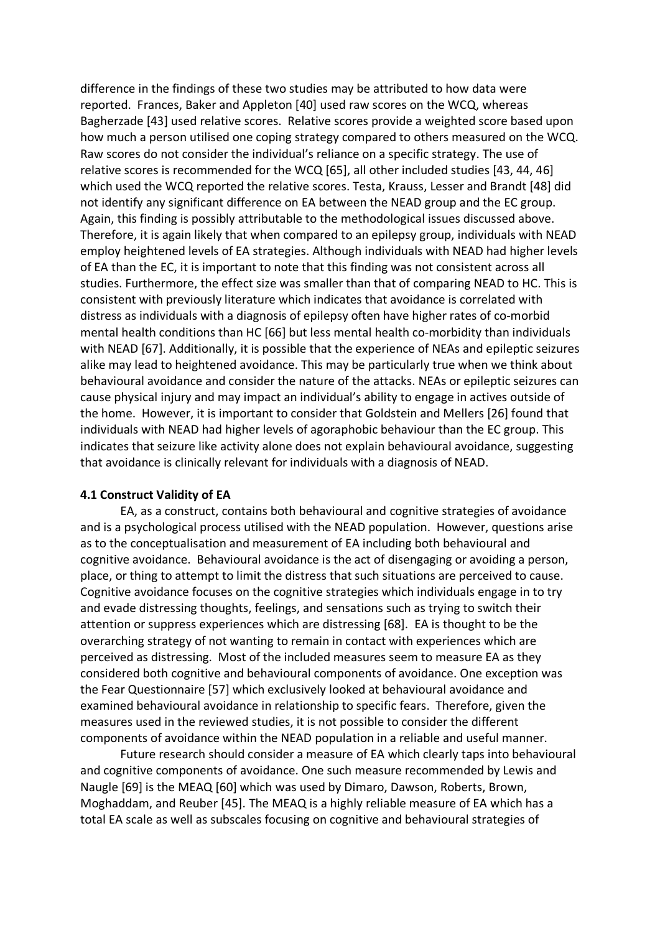difference in the findings of these two studies may be attributed to how data were reported. Frances, Baker and Appleton [40] used raw scores on the WCQ, whereas Bagherzade [43] used relative scores. Relative scores provide a weighted score based upon how much a person utilised one coping strategy compared to others measured on the WCQ. Raw scores do not consider the individual's reliance on a specific strategy. The use of relative scores is recommended for the WCQ [65], all other included studies [43, 44, 46] which used the WCQ reported the relative scores. Testa, Krauss, Lesser and Brandt [48] did not identify any significant difference on EA between the NEAD group and the EC group. Again, this finding is possibly attributable to the methodological issues discussed above. Therefore, it is again likely that when compared to an epilepsy group, individuals with NEAD employ heightened levels of EA strategies. Although individuals with NEAD had higher levels of EA than the EC, it is important to note that this finding was not consistent across all studies. Furthermore, the effect size was smaller than that of comparing NEAD to HC. This is consistent with previously literature which indicates that avoidance is correlated with distress as individuals with a diagnosis of epilepsy often have higher rates of co-morbid mental health conditions than HC [66] but less mental health co-morbidity than individuals with NEAD [67]. Additionally, it is possible that the experience of NEAs and epileptic seizures alike may lead to heightened avoidance. This may be particularly true when we think about behavioural avoidance and consider the nature of the attacks. NEAs or epileptic seizures can cause physical injury and may impact an individual's ability to engage in actives outside of the home. However, it is important to consider that Goldstein and Mellers [26] found that individuals with NEAD had higher levels of agoraphobic behaviour than the EC group. This indicates that seizure like activity alone does not explain behavioural avoidance, suggesting that avoidance is clinically relevant for individuals with a diagnosis of NEAD.

### **4.1 Construct Validity of EA**

EA, as a construct, contains both behavioural and cognitive strategies of avoidance and is a psychological process utilised with the NEAD population. However, questions arise as to the conceptualisation and measurement of EA including both behavioural and cognitive avoidance. Behavioural avoidance is the act of disengaging or avoiding a person, place, or thing to attempt to limit the distress that such situations are perceived to cause. Cognitive avoidance focuses on the cognitive strategies which individuals engage in to try and evade distressing thoughts, feelings, and sensations such as trying to switch their attention or suppress experiences which are distressing [68]. EA is thought to be the overarching strategy of not wanting to remain in contact with experiences which are perceived as distressing. Most of the included measures seem to measure EA as they considered both cognitive and behavioural components of avoidance. One exception was the Fear Questionnaire [57] which exclusively looked at behavioural avoidance and examined behavioural avoidance in relationship to specific fears. Therefore, given the measures used in the reviewed studies, it is not possible to consider the different components of avoidance within the NEAD population in a reliable and useful manner.

Future research should consider a measure of EA which clearly taps into behavioural and cognitive components of avoidance. One such measure recommended by Lewis and Naugle [69] is the MEAQ [60] which was used by Dimaro, Dawson, Roberts, Brown, Moghaddam, and Reuber [45]. The MEAQ is a highly reliable measure of EA which has a total EA scale as well as subscales focusing on cognitive and behavioural strategies of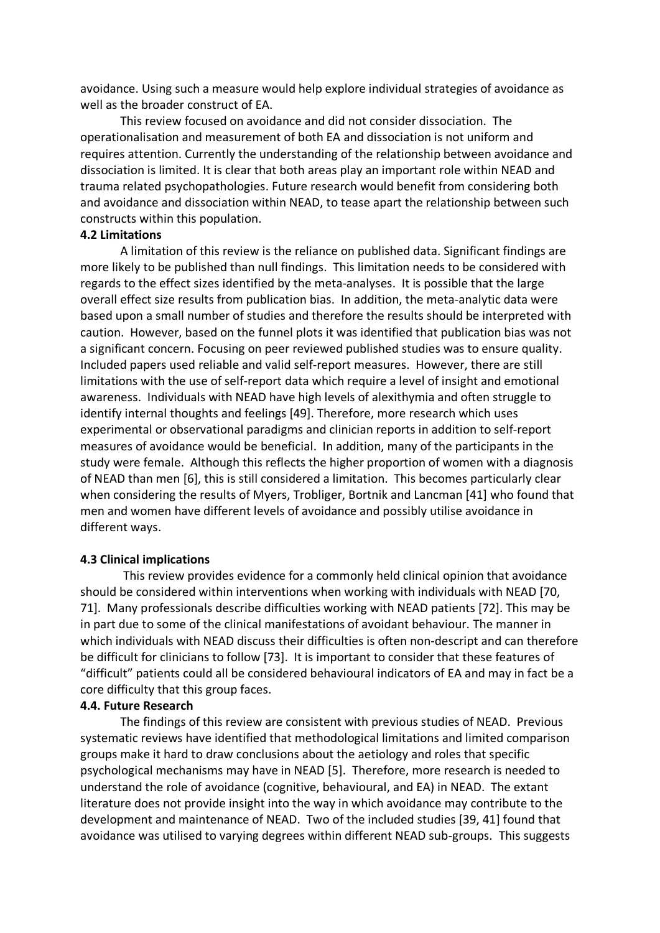avoidance. Using such a measure would help explore individual strategies of avoidance as well as the broader construct of EA.

This review focused on avoidance and did not consider dissociation. The operationalisation and measurement of both EA and dissociation is not uniform and requires attention. Currently the understanding of the relationship between avoidance and dissociation is limited. It is clear that both areas play an important role within NEAD and trauma related psychopathologies. Future research would benefit from considering both and avoidance and dissociation within NEAD, to tease apart the relationship between such constructs within this population.

#### **4.2 Limitations**

A limitation of this review is the reliance on published data. Significant findings are more likely to be published than null findings. This limitation needs to be considered with regards to the effect sizes identified by the meta-analyses. It is possible that the large overall effect size results from publication bias. In addition, the meta-analytic data were based upon a small number of studies and therefore the results should be interpreted with caution. However, based on the funnel plots it was identified that publication bias was not a significant concern. Focusing on peer reviewed published studies was to ensure quality. Included papers used reliable and valid self-report measures. However, there are still limitations with the use of self-report data which require a level of insight and emotional awareness. Individuals with NEAD have high levels of alexithymia and often struggle to identify internal thoughts and feelings [49]. Therefore, more research which uses experimental or observational paradigms and clinician reports in addition to self-report measures of avoidance would be beneficial. In addition, many of the participants in the study were female. Although this reflects the higher proportion of women with a diagnosis of NEAD than men [6], this is still considered a limitation. This becomes particularly clear when considering the results of Myers, Trobliger, Bortnik and Lancman [41] who found that men and women have different levels of avoidance and possibly utilise avoidance in different ways.

### **4.3 Clinical implications**

This review provides evidence for a commonly held clinical opinion that avoidance should be considered within interventions when working with individuals with NEAD [70, 71]. Many professionals describe difficulties working with NEAD patients [72]. This may be in part due to some of the clinical manifestations of avoidant behaviour. The manner in which individuals with NEAD discuss their difficulties is often non-descript and can therefore be difficult for clinicians to follow [73]. It is important to consider that these features of "difficult" patients could all be considered behavioural indicators of EA and may in fact be a core difficulty that this group faces.

#### **4.4. Future Research**

The findings of this review are consistent with previous studies of NEAD. Previous systematic reviews have identified that methodological limitations and limited comparison groups make it hard to draw conclusions about the aetiology and roles that specific psychological mechanisms may have in NEAD [5]. Therefore, more research is needed to understand the role of avoidance (cognitive, behavioural, and EA) in NEAD. The extant literature does not provide insight into the way in which avoidance may contribute to the development and maintenance of NEAD. Two of the included studies [39, 41] found that avoidance was utilised to varying degrees within different NEAD sub-groups. This suggests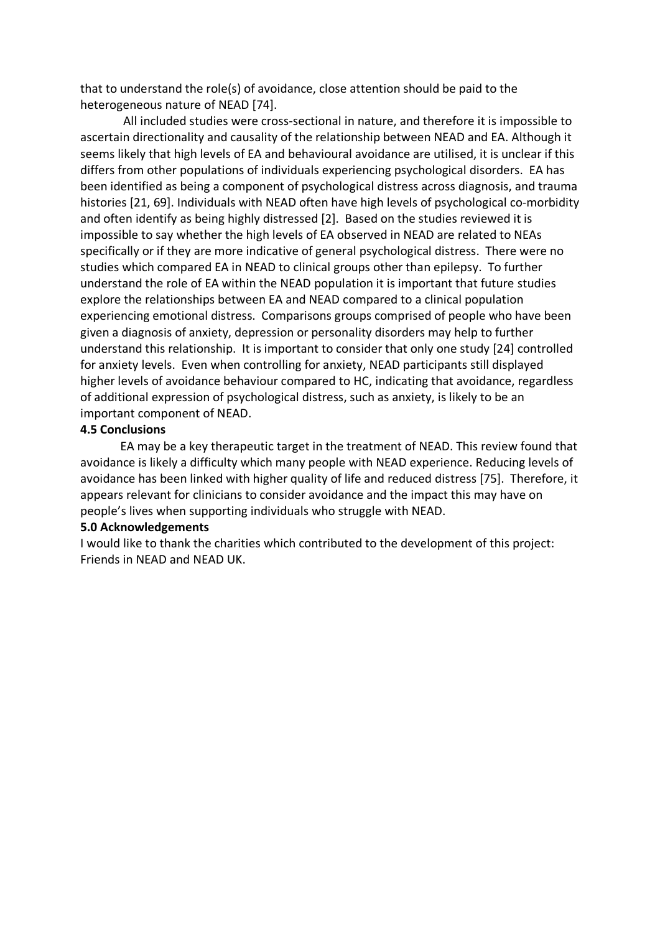that to understand the role(s) of avoidance, close attention should be paid to the heterogeneous nature of NEAD [74].

All included studies were cross-sectional in nature, and therefore it is impossible to ascertain directionality and causality of the relationship between NEAD and EA. Although it seems likely that high levels of EA and behavioural avoidance are utilised, it is unclear if this differs from other populations of individuals experiencing psychological disorders. EA has been identified as being a component of psychological distress across diagnosis, and trauma histories [21, 69]. Individuals with NEAD often have high levels of psychological co-morbidity and often identify as being highly distressed [2]. Based on the studies reviewed it is impossible to say whether the high levels of EA observed in NEAD are related to NEAs specifically or if they are more indicative of general psychological distress. There were no studies which compared EA in NEAD to clinical groups other than epilepsy. To further understand the role of EA within the NEAD population it is important that future studies explore the relationships between EA and NEAD compared to a clinical population experiencing emotional distress. Comparisons groups comprised of people who have been given a diagnosis of anxiety, depression or personality disorders may help to further understand this relationship. It is important to consider that only one study [24] controlled for anxiety levels. Even when controlling for anxiety, NEAD participants still displayed higher levels of avoidance behaviour compared to HC, indicating that avoidance, regardless of additional expression of psychological distress, such as anxiety, is likely to be an important component of NEAD.

#### **4.5 Conclusions**

EA may be a key therapeutic target in the treatment of NEAD. This review found that avoidance is likely a difficulty which many people with NEAD experience. Reducing levels of avoidance has been linked with higher quality of life and reduced distress [75]. Therefore, it appears relevant for clinicians to consider avoidance and the impact this may have on people's lives when supporting individuals who struggle with NEAD.

#### **5.0 Acknowledgements**

I would like to thank the charities which contributed to the development of this project: Friends in NEAD and NEAD UK.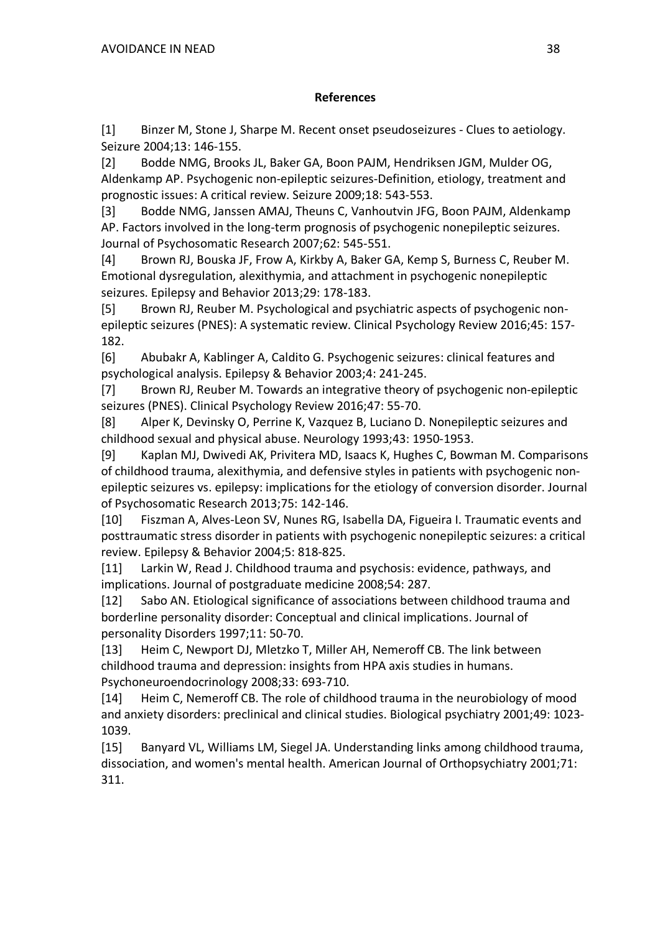## **References**

[1] Binzer M, Stone J, Sharpe M. Recent onset pseudoseizures - Clues to aetiology. Seizure 2004;13: 146-155.

[2] Bodde NMG, Brooks JL, Baker GA, Boon PAJM, Hendriksen JGM, Mulder OG, Aldenkamp AP. Psychogenic non-epileptic seizures-Definition, etiology, treatment and prognostic issues: A critical review. Seizure 2009;18: 543-553.

[3] Bodde NMG, Janssen AMAJ, Theuns C, Vanhoutvin JFG, Boon PAJM, Aldenkamp AP. Factors involved in the long-term prognosis of psychogenic nonepileptic seizures. Journal of Psychosomatic Research 2007;62: 545-551.

[4] Brown RJ, Bouska JF, Frow A, Kirkby A, Baker GA, Kemp S, Burness C, Reuber M. Emotional dysregulation, alexithymia, and attachment in psychogenic nonepileptic seizures. Epilepsy and Behavior 2013;29: 178-183.

[5] Brown RJ, Reuber M. Psychological and psychiatric aspects of psychogenic nonepileptic seizures (PNES): A systematic review. Clinical Psychology Review 2016;45: 157- 182.

[6] Abubakr A, Kablinger A, Caldito G. Psychogenic seizures: clinical features and psychological analysis. Epilepsy & Behavior 2003;4: 241-245.

[7] Brown RJ, Reuber M. Towards an integrative theory of psychogenic non-epileptic seizures (PNES). Clinical Psychology Review 2016;47: 55-70.

[8] Alper K, Devinsky O, Perrine K, Vazquez B, Luciano D. Nonepileptic seizures and childhood sexual and physical abuse. Neurology 1993;43: 1950-1953.

[9] Kaplan MJ, Dwivedi AK, Privitera MD, Isaacs K, Hughes C, Bowman M. Comparisons of childhood trauma, alexithymia, and defensive styles in patients with psychogenic nonepileptic seizures vs. epilepsy: implications for the etiology of conversion disorder. Journal of Psychosomatic Research 2013;75: 142-146.

[10] Fiszman A, Alves-Leon SV, Nunes RG, Isabella DA, Figueira I. Traumatic events and posttraumatic stress disorder in patients with psychogenic nonepileptic seizures: a critical review. Epilepsy & Behavior 2004;5: 818-825.

[11] Larkin W, Read J. Childhood trauma and psychosis: evidence, pathways, and implications. Journal of postgraduate medicine 2008;54: 287.

[12] Sabo AN. Etiological significance of associations between childhood trauma and borderline personality disorder: Conceptual and clinical implications. Journal of personality Disorders 1997;11: 50-70.

[13] Heim C, Newport DJ, Mletzko T, Miller AH, Nemeroff CB. The link between childhood trauma and depression: insights from HPA axis studies in humans. Psychoneuroendocrinology 2008;33: 693-710.

[14] Heim C, Nemeroff CB. The role of childhood trauma in the neurobiology of mood and anxiety disorders: preclinical and clinical studies. Biological psychiatry 2001;49: 1023- 1039.

[15] Banyard VL, Williams LM, Siegel JA. Understanding links among childhood trauma, dissociation, and women's mental health. American Journal of Orthopsychiatry 2001;71: 311.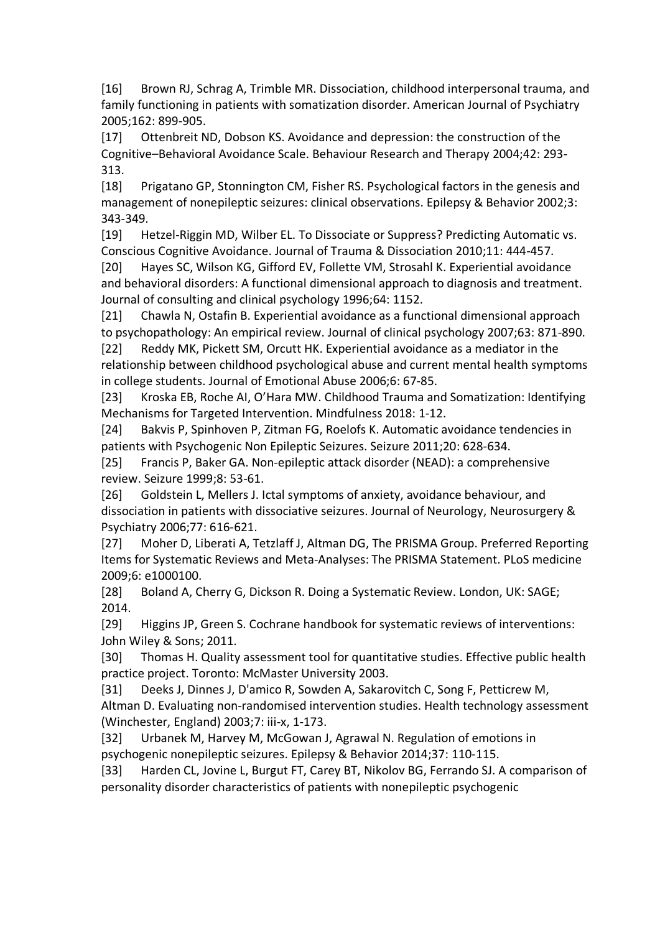[16] Brown RJ, Schrag A, Trimble MR. Dissociation, childhood interpersonal trauma, and family functioning in patients with somatization disorder. American Journal of Psychiatry 2005;162: 899-905.

[17] Ottenbreit ND, Dobson KS. Avoidance and depression: the construction of the Cognitive–Behavioral Avoidance Scale. Behaviour Research and Therapy 2004;42: 293- 313.

[18] Prigatano GP, Stonnington CM, Fisher RS. Psychological factors in the genesis and management of nonepileptic seizures: clinical observations. Epilepsy & Behavior 2002;3: 343-349.

[19] Hetzel-Riggin MD, Wilber EL. To Dissociate or Suppress? Predicting Automatic vs. Conscious Cognitive Avoidance. Journal of Trauma & Dissociation 2010;11: 444-457.

[20] Hayes SC, Wilson KG, Gifford EV, Follette VM, Strosahl K. Experiential avoidance and behavioral disorders: A functional dimensional approach to diagnosis and treatment. Journal of consulting and clinical psychology 1996;64: 1152.

[21] Chawla N, Ostafin B. Experiential avoidance as a functional dimensional approach to psychopathology: An empirical review. Journal of clinical psychology 2007;63: 871-890.

[22] Reddy MK, Pickett SM, Orcutt HK. Experiential avoidance as a mediator in the relationship between childhood psychological abuse and current mental health symptoms in college students. Journal of Emotional Abuse 2006;6: 67-85.

[23] Kroska EB, Roche AI, O'Hara MW. Childhood Trauma and Somatization: Identifying Mechanisms for Targeted Intervention. Mindfulness 2018: 1-12.

[24] Bakvis P, Spinhoven P, Zitman FG, Roelofs K. Automatic avoidance tendencies in patients with Psychogenic Non Epileptic Seizures. Seizure 2011;20: 628-634.

[25] Francis P, Baker GA. Non-epileptic attack disorder (NEAD): a comprehensive review. Seizure 1999;8: 53-61.

[26] Goldstein L, Mellers J. Ictal symptoms of anxiety, avoidance behaviour, and dissociation in patients with dissociative seizures. Journal of Neurology, Neurosurgery & Psychiatry 2006;77: 616-621.

[27] Moher D, Liberati A, Tetzlaff J, Altman DG, The PRISMA Group. Preferred Reporting Items for Systematic Reviews and Meta-Analyses: The PRISMA Statement. PLoS medicine 2009;6: e1000100.

[28] Boland A, Cherry G, Dickson R. Doing a Systematic Review. London, UK: SAGE; 2014.

[29] Higgins JP, Green S. Cochrane handbook for systematic reviews of interventions: John Wiley & Sons; 2011.

[30] Thomas H. Quality assessment tool for quantitative studies. Effective public health practice project. Toronto: McMaster University 2003.

[31] Deeks J, Dinnes J, D'amico R, Sowden A, Sakarovitch C, Song F, Petticrew M, Altman D. Evaluating non-randomised intervention studies. Health technology assessment (Winchester, England) 2003;7: iii-x, 1-173.

[32] Urbanek M, Harvey M, McGowan J, Agrawal N. Regulation of emotions in psychogenic nonepileptic seizures. Epilepsy & Behavior 2014;37: 110-115.

[33] Harden CL, Jovine L, Burgut FT, Carey BT, Nikolov BG, Ferrando SJ. A comparison of personality disorder characteristics of patients with nonepileptic psychogenic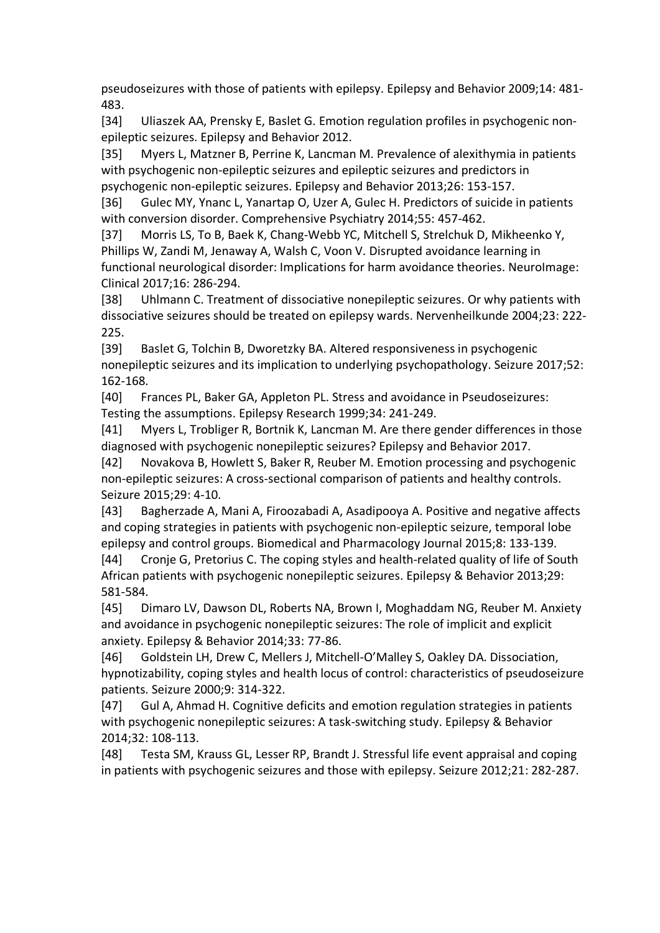pseudoseizures with those of patients with epilepsy. Epilepsy and Behavior 2009;14: 481- 483.

[34] Uliaszek AA, Prensky E, Baslet G. Emotion regulation profiles in psychogenic nonepileptic seizures. Epilepsy and Behavior 2012.

[35] Myers L, Matzner B, Perrine K, Lancman M. Prevalence of alexithymia in patients with psychogenic non-epileptic seizures and epileptic seizures and predictors in psychogenic non-epileptic seizures. Epilepsy and Behavior 2013;26: 153-157.

[36] Gulec MY, Ynanc L, Yanartap O, Uzer A, Gulec H. Predictors of suicide in patients with conversion disorder. Comprehensive Psychiatry 2014;55: 457-462.

[37] Morris LS, To B, Baek K, Chang-Webb YC, Mitchell S, Strelchuk D, Mikheenko Y, Phillips W, Zandi M, Jenaway A, Walsh C, Voon V. Disrupted avoidance learning in functional neurological disorder: Implications for harm avoidance theories. NeuroImage: Clinical 2017;16: 286-294.

[38] Uhlmann C. Treatment of dissociative nonepileptic seizures. Or why patients with dissociative seizures should be treated on epilepsy wards. Nervenheilkunde 2004;23: 222- 225.

[39] Baslet G, Tolchin B, Dworetzky BA. Altered responsiveness in psychogenic nonepileptic seizures and its implication to underlying psychopathology. Seizure 2017;52: 162-168.

[40] Frances PL, Baker GA, Appleton PL. Stress and avoidance in Pseudoseizures: Testing the assumptions. Epilepsy Research 1999;34: 241-249.

[41] Myers L, Trobliger R, Bortnik K, Lancman M. Are there gender differences in those diagnosed with psychogenic nonepileptic seizures? Epilepsy and Behavior 2017.

[42] Novakova B, Howlett S, Baker R, Reuber M. Emotion processing and psychogenic non-epileptic seizures: A cross-sectional comparison of patients and healthy controls. Seizure 2015;29: 4-10.

[43] Bagherzade A, Mani A, Firoozabadi A, Asadipooya A. Positive and negative affects and coping strategies in patients with psychogenic non-epileptic seizure, temporal lobe epilepsy and control groups. Biomedical and Pharmacology Journal 2015;8: 133-139.

[44] Cronje G, Pretorius C. The coping styles and health-related quality of life of South African patients with psychogenic nonepileptic seizures. Epilepsy & Behavior 2013;29: 581-584.

[45] Dimaro LV, Dawson DL, Roberts NA, Brown I, Moghaddam NG, Reuber M. Anxiety and avoidance in psychogenic nonepileptic seizures: The role of implicit and explicit anxiety. Epilepsy & Behavior 2014;33: 77-86.

[46] Goldstein LH, Drew C, Mellers J, Mitchell-O'Malley S, Oakley DA. Dissociation, hypnotizability, coping styles and health locus of control: characteristics of pseudoseizure patients. Seizure 2000;9: 314-322.

[47] Gul A, Ahmad H. Cognitive deficits and emotion regulation strategies in patients with psychogenic nonepileptic seizures: A task-switching study. Epilepsy & Behavior 2014;32: 108-113.

[48] Testa SM, Krauss GL, Lesser RP, Brandt J. Stressful life event appraisal and coping in patients with psychogenic seizures and those with epilepsy. Seizure 2012;21: 282-287.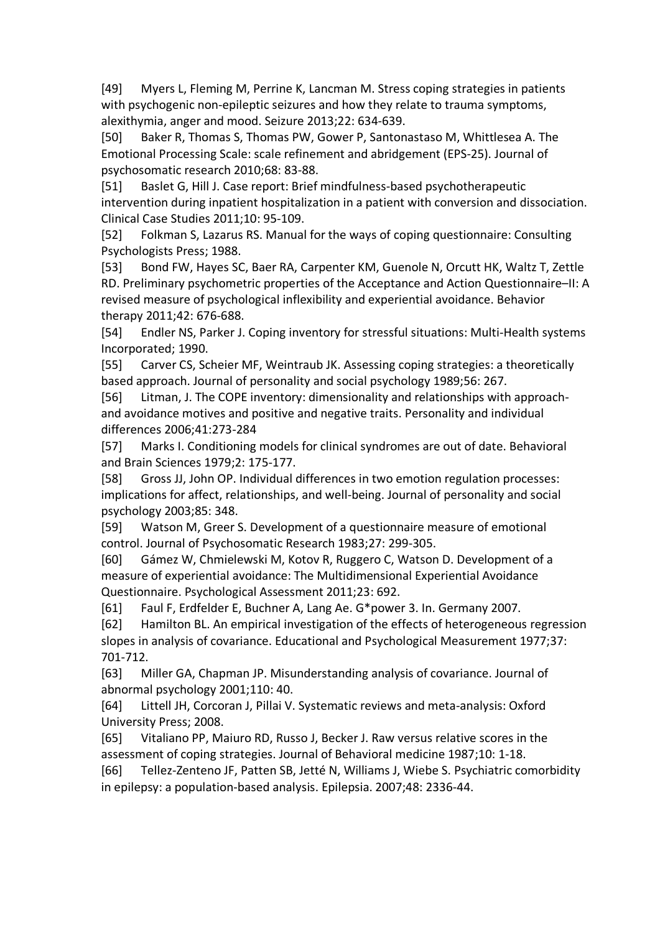[49] Myers L, Fleming M, Perrine K, Lancman M. Stress coping strategies in patients with psychogenic non-epileptic seizures and how they relate to trauma symptoms, alexithymia, anger and mood. Seizure 2013;22: 634-639.

[50] Baker R, Thomas S, Thomas PW, Gower P, Santonastaso M, Whittlesea A. The Emotional Processing Scale: scale refinement and abridgement (EPS-25). Journal of psychosomatic research 2010;68: 83-88.

[51] Baslet G, Hill J. Case report: Brief mindfulness-based psychotherapeutic intervention during inpatient hospitalization in a patient with conversion and dissociation. Clinical Case Studies 2011;10: 95-109.

[52] Folkman S, Lazarus RS. Manual for the ways of coping questionnaire: Consulting Psychologists Press; 1988.

[53] Bond FW, Hayes SC, Baer RA, Carpenter KM, Guenole N, Orcutt HK, Waltz T, Zettle RD. Preliminary psychometric properties of the Acceptance and Action Questionnaire–II: A revised measure of psychological inflexibility and experiential avoidance. Behavior therapy 2011;42: 676-688.

[54] Endler NS, Parker J. Coping inventory for stressful situations: Multi-Health systems Incorporated; 1990.

[55] Carver CS, Scheier MF, Weintraub JK. Assessing coping strategies: a theoretically based approach. Journal of personality and social psychology 1989;56: 267.

[56] Litman, J. The COPE inventory: dimensionality and relationships with approachand avoidance motives and positive and negative traits. Personality and individual differences 2006;41:273-284

[57] Marks I. Conditioning models for clinical syndromes are out of date. Behavioral and Brain Sciences 1979;2: 175-177.

[58] Gross JJ, John OP. Individual differences in two emotion regulation processes: implications for affect, relationships, and well-being. Journal of personality and social psychology 2003;85: 348.

[59] Watson M, Greer S. Development of a questionnaire measure of emotional control. Journal of Psychosomatic Research 1983;27: 299-305.

[60] Gámez W, Chmielewski M, Kotov R, Ruggero C, Watson D. Development of a measure of experiential avoidance: The Multidimensional Experiential Avoidance Questionnaire. Psychological Assessment 2011;23: 692.

[61] Faul F, Erdfelder E, Buchner A, Lang Ae. G\*power 3. In. Germany 2007.

[62] Hamilton BL. An empirical investigation of the effects of heterogeneous regression slopes in analysis of covariance. Educational and Psychological Measurement 1977;37: 701-712.

[63] Miller GA, Chapman JP. Misunderstanding analysis of covariance. Journal of abnormal psychology 2001;110: 40.

[64] Littell JH, Corcoran J, Pillai V. Systematic reviews and meta-analysis: Oxford University Press; 2008.

[65] Vitaliano PP, Maiuro RD, Russo J, Becker J. Raw versus relative scores in the assessment of coping strategies. Journal of Behavioral medicine 1987;10: 1-18.

[66] Tellez-Zenteno JF, Patten SB, Jetté N, Williams J, Wiebe S. Psychiatric comorbidity in epilepsy: a population-based analysis. Epilepsia. 2007;48: 2336-44.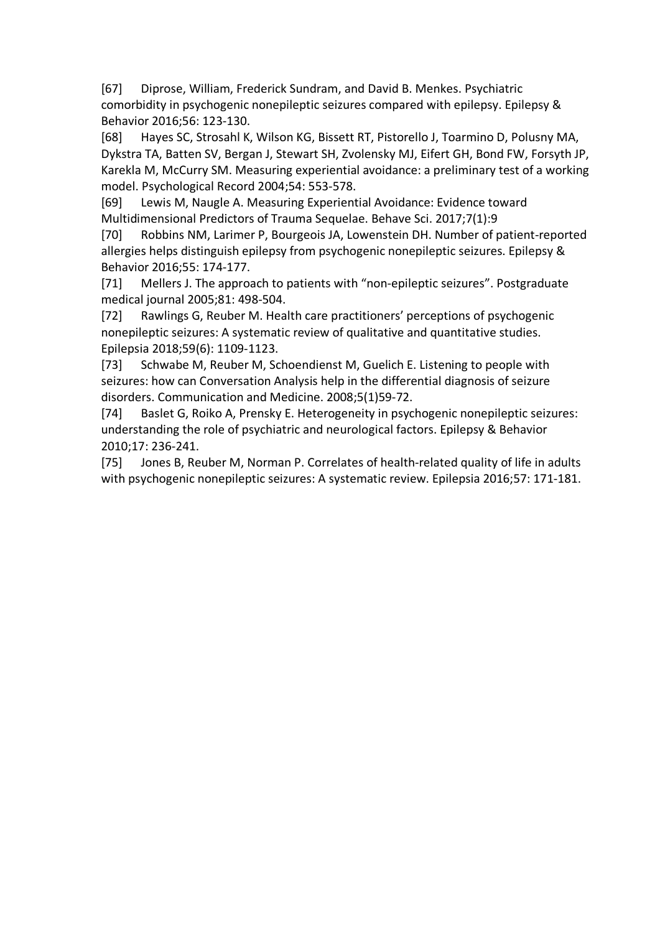[67] Diprose, William, Frederick Sundram, and David B. Menkes. Psychiatric comorbidity in psychogenic nonepileptic seizures compared with epilepsy. Epilepsy & Behavior 2016;56: 123-130.

[68] Hayes SC, Strosahl K, Wilson KG, Bissett RT, Pistorello J, Toarmino D, Polusny MA, Dykstra TA, Batten SV, Bergan J, Stewart SH, Zvolensky MJ, Eifert GH, Bond FW, Forsyth JP, Karekla M, McCurry SM. Measuring experiential avoidance: a preliminary test of a working model. Psychological Record 2004;54: 553-578.

[69] Lewis M, Naugle A. Measuring Experiential Avoidance: Evidence toward Multidimensional Predictors of Trauma Sequelae. Behave Sci. 2017;7(1):9

[70] Robbins NM, Larimer P, Bourgeois JA, Lowenstein DH. Number of patient-reported allergies helps distinguish epilepsy from psychogenic nonepileptic seizures. Epilepsy & Behavior 2016;55: 174-177.

[71] Mellers J. The approach to patients with "non-epileptic seizures". Postgraduate medical journal 2005;81: 498-504.

[72] Rawlings G, Reuber M. Health care practitioners' perceptions of psychogenic nonepileptic seizures: A systematic review of qualitative and quantitative studies. Epilepsia 2018;59(6): 1109-1123.

[73] Schwabe M, Reuber M, Schoendienst M, Guelich E. Listening to people with seizures: how can Conversation Analysis help in the differential diagnosis of seizure disorders. Communication and Medicine. 2008;5(1)59-72.

[74] Baslet G, Roiko A, Prensky E. Heterogeneity in psychogenic nonepileptic seizures: understanding the role of psychiatric and neurological factors. Epilepsy & Behavior 2010;17: 236-241.

[75] Jones B, Reuber M, Norman P. Correlates of health-related quality of life in adults with psychogenic nonepileptic seizures: A systematic review. Epilepsia 2016;57: 171-181.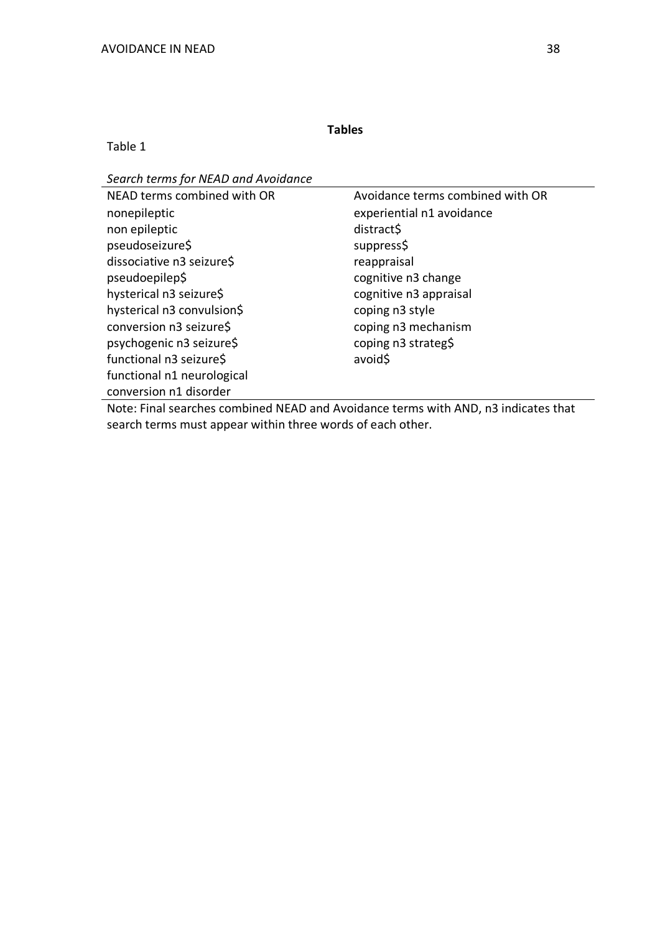## Table 1

*Search terms for NEAD and Avoidance*

| Avoidance terms combined with OR |
|----------------------------------|
| experiential n1 avoidance        |
| distract\$                       |
| suppress\$                       |
| reappraisal                      |
| cognitive n3 change              |
| cognitive n3 appraisal           |
| coping n3 style                  |
| coping n3 mechanism              |
| coping n3 strateg\$              |
| avoid\$                          |
|                                  |
|                                  |
|                                  |

Note: Final searches combined NEAD and Avoidance terms with AND, n3 indicates that search terms must appear within three words of each other.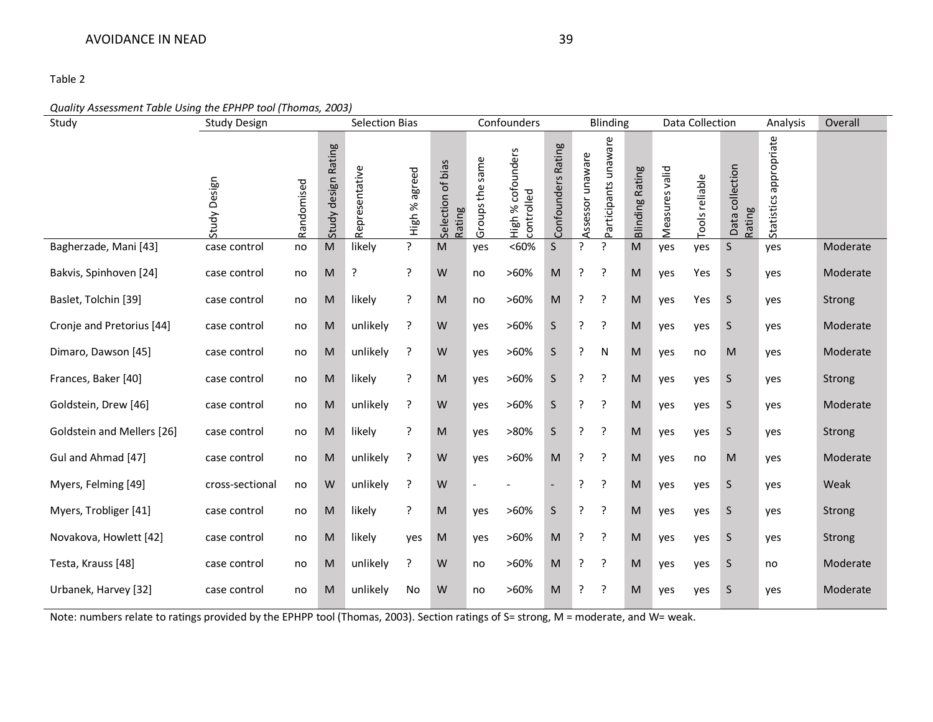#### *Quality Assessment Table Using the EPHPP tool (Thomas, 2003)*

| Study                      | <b>Selection Bias</b><br><b>Study Design</b> |            | Confounders<br>Blinding                                                                                    |                |                  | Data Collection                                                                                            |                          | Analysis                        | Overall            |                  |                      |                                                                                       |                |                |                           |                        |          |
|----------------------------|----------------------------------------------|------------|------------------------------------------------------------------------------------------------------------|----------------|------------------|------------------------------------------------------------------------------------------------------------|--------------------------|---------------------------------|--------------------|------------------|----------------------|---------------------------------------------------------------------------------------|----------------|----------------|---------------------------|------------------------|----------|
|                            | Study Design                                 | Randomised | Study design Rating                                                                                        | Representative | agreed<br>High % | Selection of bias<br>Rating                                                                                | Groups the same          | High % cofounders<br>controlled | Confounders Rating | Assessor unaware | Participants unaware | <b>Blinding Rating</b>                                                                | Measures valid | Tools reliable | Data collection<br>Rating | Statistics appropriate |          |
| Bagherzade, Mani [43]      | case control                                 | no         | $\mathsf{M}% _{T}=\mathsf{M}_{T}\!\left( a,b\right) ,\ \mathsf{M}_{T}=\mathsf{M}_{T}\!\left( a,b\right) ,$ | likely         | $\overline{?}$   | $\mathsf{M}% _{T}=\mathsf{M}_{T}\!\left( a,b\right) ,\ \mathsf{M}_{T}=\mathsf{M}_{T}\!\left( a,b\right) ,$ | yes                      | < 60%                           | S                  | ?                | ?                    | $\mathsf{M}% _{T}=\mathsf{M}_{T}\!\left( a,b\right) ,\ \mathsf{M}_{T}=\mathsf{M}_{T}$ | yes            | yes            | S                         | yes                    | Moderate |
| Bakvis, Spinhoven [24]     | case control                                 | no         | ${\sf M}$                                                                                                  | ?              | ?                | W                                                                                                          | no                       | $>60\%$                         | M                  | ?                | $\cdot$              | M                                                                                     | yes            | Yes            | S                         | yes                    | Moderate |
| Baslet, Tolchin [39]       | case control                                 | no         | M                                                                                                          | likely         | ?                | M                                                                                                          | no                       | $>60\%$                         | M                  | ?                | ?                    | M                                                                                     | yes            | Yes            | S.                        | yes                    | Strong   |
| Cronje and Pretorius [44]  | case control                                 | no         | ${\sf M}$                                                                                                  | unlikely       | ?                | W                                                                                                          | yes                      | $>60\%$                         | $\mathsf S$        | ?                | $\cdot$              | M                                                                                     | yes            | yes            | S.                        | yes                    | Moderate |
| Dimaro, Dawson [45]        | case control                                 | no         | ${\sf M}$                                                                                                  | unlikely       | ?                | W                                                                                                          | yes                      | $>60\%$                         | $\mathsf{S}$       | ?                | N                    | M                                                                                     | yes            | no             | M                         | yes                    | Moderate |
| Frances, Baker [40]        | case control                                 | no         | ${\sf M}$                                                                                                  | likely         | ?                | M                                                                                                          | yes                      | $>60\%$                         | S                  | ?                | $\cdot$              | M                                                                                     | yes            | yes            | S.                        | yes                    | Strong   |
| Goldstein, Drew [46]       | case control                                 | no         | ${\sf M}$                                                                                                  | unlikely       | ?                | W                                                                                                          | yes                      | $>60\%$                         | $\mathsf S$        | ?                | $\cdot$ ?            | M                                                                                     | yes            | yes            | S.                        | yes                    | Moderate |
| Goldstein and Mellers [26] | case control                                 | no         | ${\sf M}$                                                                                                  | likely         | ?                | M                                                                                                          | yes                      | >80%                            | S                  | ?                | $\cdot$              | M                                                                                     | yes            | yes            | S.                        | yes                    | Strong   |
| Gul and Ahmad [47]         | case control                                 | no         | ${\sf M}$                                                                                                  | unlikely       | ?                | W                                                                                                          | yes                      | $>60\%$                         | M                  | ?                | $\cdot$              | M                                                                                     | yes            | no             | M                         | yes                    | Moderate |
| Myers, Felming [49]        | cross-sectional                              | no         | W                                                                                                          | unlikely       | ?                | W                                                                                                          | $\overline{\phantom{a}}$ |                                 | $\overline{a}$     | ?                | $\cdot$              | M                                                                                     | yes            | yes            | S.                        | yes                    | Weak     |
| Myers, Trobliger [41]      | case control                                 | no         | ${\sf M}$                                                                                                  | likely         | ?                | ${\sf M}$                                                                                                  | yes                      | $>60\%$                         | $\mathsf S$        | ?                | ?                    | M                                                                                     | yes            | yes            | S.                        | yes                    | Strong   |
| Novakova, Howlett [42]     | case control                                 | no         | ${\sf M}$                                                                                                  | likely         | yes              | ${\sf M}$                                                                                                  | yes                      | >60%                            | ${\sf M}$          | ?                | ?                    | M                                                                                     | yes            | yes            | S.                        | yes                    | Strong   |
| Testa, Krauss [48]         | case control                                 | no         | ${\sf M}$                                                                                                  | unlikely       | ?                | W                                                                                                          | no                       | $>60\%$                         | ${\sf M}$          | ?                | $\cdot$              | M                                                                                     | yes            | yes            | S.                        | no                     | Moderate |
| Urbanek, Harvey [32]       | case control                                 | no         | M                                                                                                          | unlikely       | No               | W                                                                                                          | no                       | $>60\%$                         | M                  | ?                | ?                    | M                                                                                     | yes            | yes            | S                         | yes                    | Moderate |

Note: numbers relate to ratings provided by the EPHPP tool (Thomas, 2003). Section ratings of S= strong, M = moderate, and W= weak.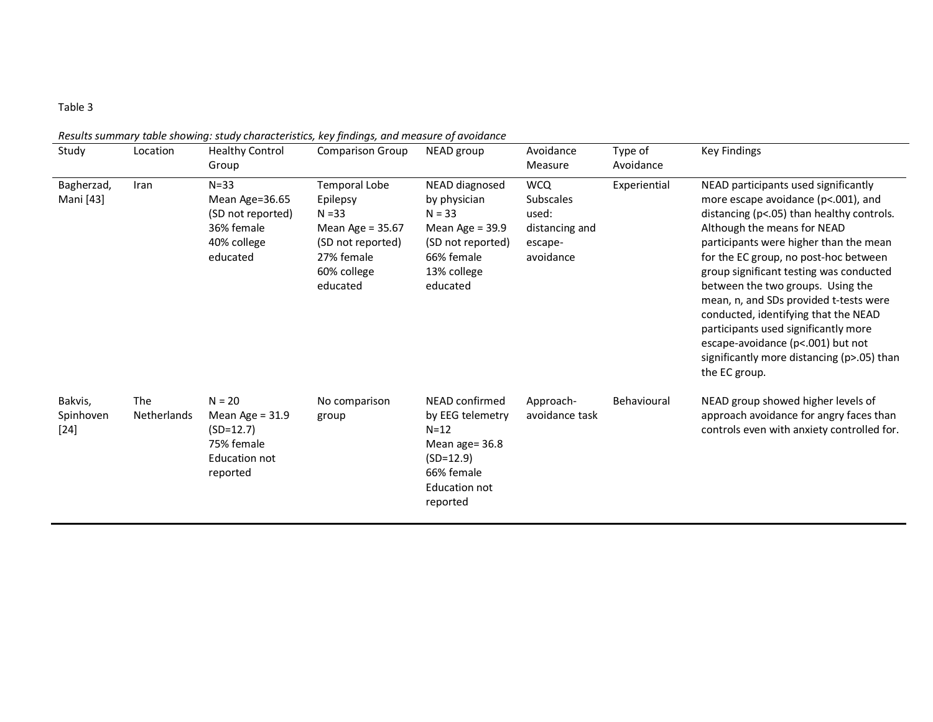| Study                          | Location                  | <b>Healthy Control</b><br>Group                                                                | <b>Comparison Group</b>                                                                                                        | NEAD group                                                                                                                      | Avoidance<br>Measure                                                              | Type of<br>Avoidance | <b>Key Findings</b>                                                                                                                                                                                                                                                                                                                                                                                                                                                                                                                                      |
|--------------------------------|---------------------------|------------------------------------------------------------------------------------------------|--------------------------------------------------------------------------------------------------------------------------------|---------------------------------------------------------------------------------------------------------------------------------|-----------------------------------------------------------------------------------|----------------------|----------------------------------------------------------------------------------------------------------------------------------------------------------------------------------------------------------------------------------------------------------------------------------------------------------------------------------------------------------------------------------------------------------------------------------------------------------------------------------------------------------------------------------------------------------|
| Bagherzad,<br>Mani [43]        | Iran                      | $N = 33$<br>Mean Age=36.65<br>(SD not reported)<br>36% female<br>40% college<br>educated       | <b>Temporal Lobe</b><br>Epilepsy<br>$N = 33$<br>Mean Age = 35.67<br>(SD not reported)<br>27% female<br>60% college<br>educated | NEAD diagnosed<br>by physician<br>$N = 33$<br>Mean Age = $39.9$<br>(SD not reported)<br>66% female<br>13% college<br>educated   | <b>WCQ</b><br><b>Subscales</b><br>used:<br>distancing and<br>escape-<br>avoidance | Experiential         | NEAD participants used significantly<br>more escape avoidance (p<.001), and<br>distancing (p<.05) than healthy controls.<br>Although the means for NEAD<br>participants were higher than the mean<br>for the EC group, no post-hoc between<br>group significant testing was conducted<br>between the two groups. Using the<br>mean, n, and SDs provided t-tests were<br>conducted, identifying that the NEAD<br>participants used significantly more<br>escape-avoidance (p<.001) but not<br>significantly more distancing (p>.05) than<br>the EC group. |
| Bakvis,<br>Spinhoven<br>$[24]$ | <b>The</b><br>Netherlands | $N = 20$<br>Mean Age = $31.9$<br>$(SD=12.7)$<br>75% female<br><b>Education not</b><br>reported | No comparison<br>group                                                                                                         | NEAD confirmed<br>by EEG telemetry<br>$N=12$<br>Mean age= 36.8<br>$(SD=12.9)$<br>66% female<br><b>Education not</b><br>reported | Approach-<br>avoidance task                                                       | Behavioural          | NEAD group showed higher levels of<br>approach avoidance for angry faces than<br>controls even with anxiety controlled for.                                                                                                                                                                                                                                                                                                                                                                                                                              |

*Results summary table showing: study characteristics, key findings, and measure of avoidance*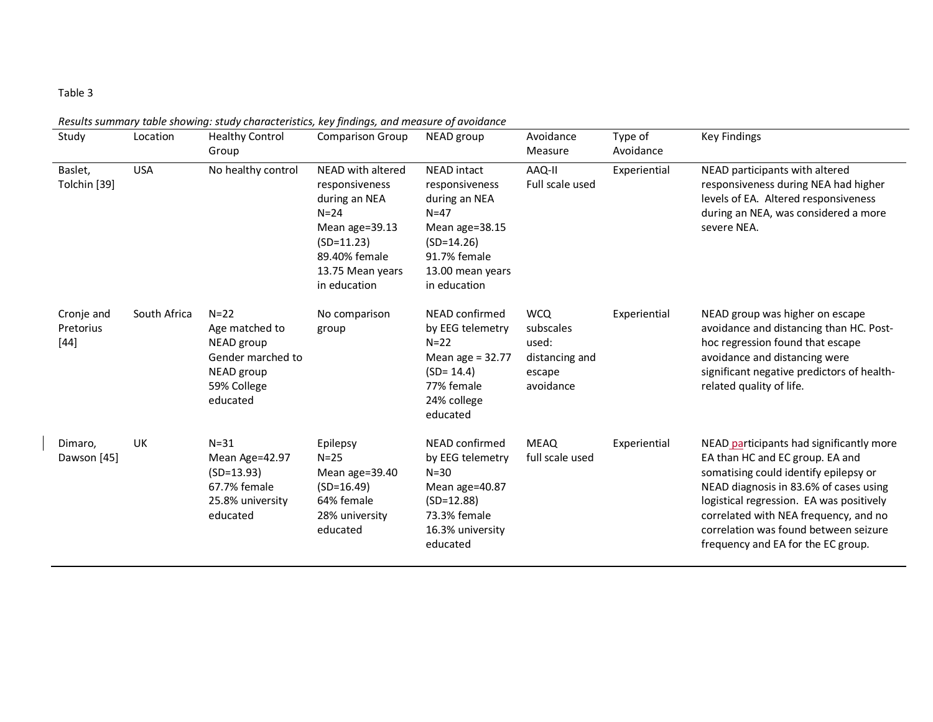| Study                             | Location     | <b>Healthy Control</b><br>Group                                                                        | <b>Comparison Group</b>                                                                                                                                 | NEAD group                                                                                                                                            | Avoidance<br>Measure                                                      | Type of<br>Avoidance | <b>Key Findings</b>                                                                                                                                                                                                                                                                                                                |
|-----------------------------------|--------------|--------------------------------------------------------------------------------------------------------|---------------------------------------------------------------------------------------------------------------------------------------------------------|-------------------------------------------------------------------------------------------------------------------------------------------------------|---------------------------------------------------------------------------|----------------------|------------------------------------------------------------------------------------------------------------------------------------------------------------------------------------------------------------------------------------------------------------------------------------------------------------------------------------|
| Baslet,<br>Tolchin [39]           | <b>USA</b>   | No healthy control                                                                                     | NEAD with altered<br>responsiveness<br>during an NEA<br>$N = 24$<br>Mean age=39.13<br>$(SD=11.23)$<br>89.40% female<br>13.75 Mean years<br>in education | <b>NEAD</b> intact<br>responsiveness<br>during an NEA<br>$N=47$<br>Mean age=38.15<br>$(SD=14.26)$<br>91.7% female<br>13.00 mean years<br>in education | AAQ-II<br>Full scale used                                                 | Experiential         | NEAD participants with altered<br>responsiveness during NEA had higher<br>levels of EA. Altered responsiveness<br>during an NEA, was considered a more<br>severe NEA.                                                                                                                                                              |
| Cronje and<br>Pretorius<br>$[44]$ | South Africa | $N = 22$<br>Age matched to<br>NEAD group<br>Gender marched to<br>NEAD group<br>59% College<br>educated | No comparison<br>group                                                                                                                                  | NEAD confirmed<br>by EEG telemetry<br>$N=22$<br>Mean age = 32.77<br>$(SD = 14.4)$<br>77% female<br>24% college<br>educated                            | <b>WCQ</b><br>subscales<br>used:<br>distancing and<br>escape<br>avoidance | Experiential         | NEAD group was higher on escape<br>avoidance and distancing than HC. Post-<br>hoc regression found that escape<br>avoidance and distancing were<br>significant negative predictors of health-<br>related quality of life.                                                                                                          |
| Dimaro,<br>Dawson [45]            | UK           | $N = 31$<br>Mean Age=42.97<br>$(SD=13.93)$<br>67.7% female<br>25.8% university<br>educated             | Epilepsy<br>$N = 25$<br>Mean age=39.40<br>$(SD=16.49)$<br>64% female<br>28% university<br>educated                                                      | NEAD confirmed<br>by EEG telemetry<br>$N=30$<br>Mean age=40.87<br>$(SD=12.88)$<br>73.3% female<br>16.3% university<br>educated                        | <b>MEAQ</b><br>full scale used                                            | Experiential         | NEAD participants had significantly more<br>EA than HC and EC group. EA and<br>somatising could identify epilepsy or<br>NEAD diagnosis in 83.6% of cases using<br>logistical regression. EA was positively<br>correlated with NEA frequency, and no<br>correlation was found between seizure<br>frequency and EA for the EC group. |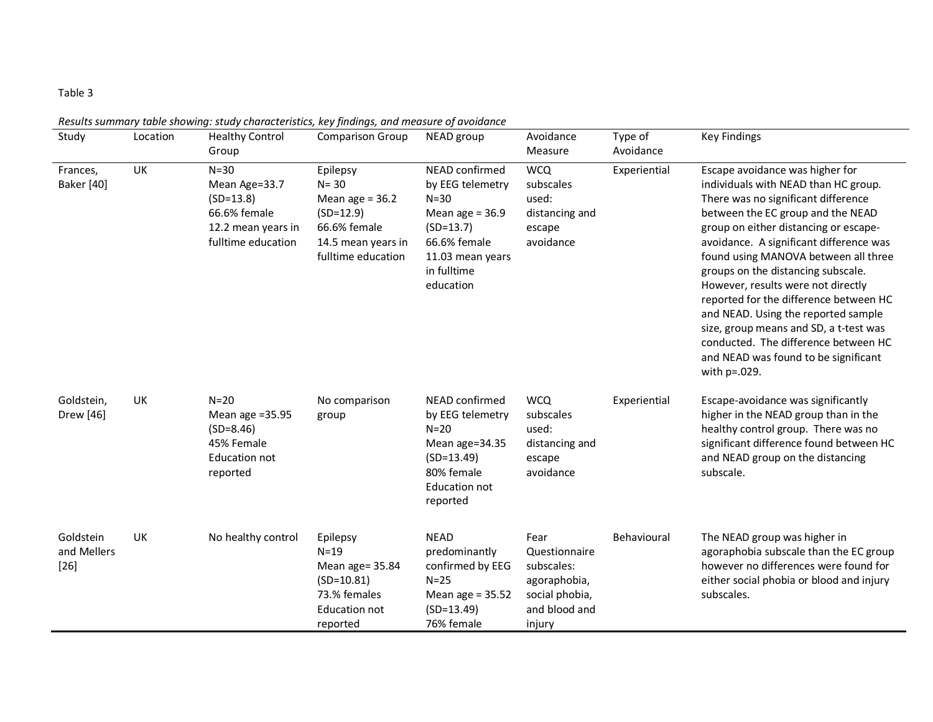| Study                              | Location | ncounts summary table showing: stuay characteristics, key phamgs, and measure of avoidance<br><b>Healthy Control</b><br>Group | <b>Comparison Group</b>                                                                                              | NEAD group                                                                                                                                         | Avoidance<br>Measure                                                                             | Type of<br>Avoidance | Key Findings                                                                                                                                                                                                                                                                                                                                                                                                                                                                                                                                                                           |
|------------------------------------|----------|-------------------------------------------------------------------------------------------------------------------------------|----------------------------------------------------------------------------------------------------------------------|----------------------------------------------------------------------------------------------------------------------------------------------------|--------------------------------------------------------------------------------------------------|----------------------|----------------------------------------------------------------------------------------------------------------------------------------------------------------------------------------------------------------------------------------------------------------------------------------------------------------------------------------------------------------------------------------------------------------------------------------------------------------------------------------------------------------------------------------------------------------------------------------|
| Frances,<br><b>Baker</b> [40]      | UK       | $N=30$<br>Mean Age=33.7<br>$(SD=13.8)$<br>66.6% female<br>12.2 mean years in<br>fulltime education                            | Epilepsy<br>$N = 30$<br>Mean age = $36.2$<br>$(SD=12.9)$<br>66.6% female<br>14.5 mean years in<br>fulltime education | NEAD confirmed<br>by EEG telemetry<br>$N = 30$<br>Mean age $= 36.9$<br>$(SD=13.7)$<br>66.6% female<br>11.03 mean years<br>in fulltime<br>education | <b>WCQ</b><br>subscales<br>used:<br>distancing and<br>escape<br>avoidance                        | Experiential         | Escape avoidance was higher for<br>individuals with NEAD than HC group.<br>There was no significant difference<br>between the EC group and the NEAD<br>group on either distancing or escape-<br>avoidance. A significant difference was<br>found using MANOVA between all three<br>groups on the distancing subscale.<br>However, results were not directly<br>reported for the difference between HC<br>and NEAD. Using the reported sample<br>size, group means and SD, a t-test was<br>conducted. The difference between HC<br>and NEAD was found to be significant<br>with p=.029. |
| Goldstein,<br>Drew [46]            | UK       | $N=20$<br>Mean age = 35.95<br>$(SD=8.46)$<br>45% Female<br><b>Education not</b><br>reported                                   | No comparison<br>group                                                                                               | NEAD confirmed<br>by EEG telemetry<br>$N=20$<br>Mean age=34.35<br>$(SD=13.49)$<br>80% female<br>Education not<br>reported                          | <b>WCQ</b><br>subscales<br>used:<br>distancing and<br>escape<br>avoidance                        | Experiential         | Escape-avoidance was significantly<br>higher in the NEAD group than in the<br>healthy control group. There was no<br>significant difference found between HC<br>and NEAD group on the distancing<br>subscale.                                                                                                                                                                                                                                                                                                                                                                          |
| Goldstein<br>and Mellers<br>$[26]$ | UK       | No healthy control                                                                                                            | Epilepsy<br>$N=19$<br>Mean age= 35.84<br>$(SD=10.81)$<br>73.% females<br><b>Education not</b><br>reported            | <b>NEAD</b><br>predominantly<br>confirmed by EEG<br>$N=25$<br>Mean age = $35.52$<br>$(SD=13.49)$<br>76% female                                     | Fear<br>Questionnaire<br>subscales:<br>agoraphobia,<br>social phobia,<br>and blood and<br>injury | Behavioural          | The NEAD group was higher in<br>agoraphobia subscale than the EC group<br>however no differences were found for<br>either social phobia or blood and injury<br>subscales.                                                                                                                                                                                                                                                                                                                                                                                                              |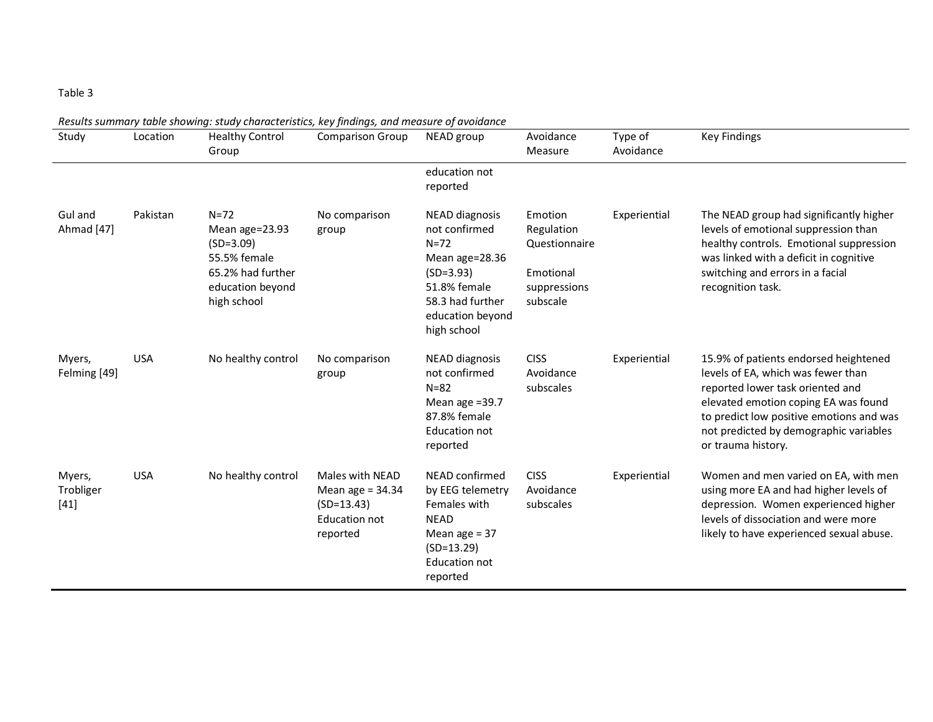| Study                         | Location   | results summary table showing: staay enaracteristics, Key jinamgs, and measure of avoiaunce<br><b>Healthy Control</b><br>Group | <b>Comparison Group</b>                                                                   | NEAD group                                                                                                                                                 | Avoidance<br>Measure                                                            | Type of<br>Avoidance | <b>Key Findings</b>                                                                                                                                                                                                                                                 |
|-------------------------------|------------|--------------------------------------------------------------------------------------------------------------------------------|-------------------------------------------------------------------------------------------|------------------------------------------------------------------------------------------------------------------------------------------------------------|---------------------------------------------------------------------------------|----------------------|---------------------------------------------------------------------------------------------------------------------------------------------------------------------------------------------------------------------------------------------------------------------|
|                               |            |                                                                                                                                |                                                                                           | education not<br>reported                                                                                                                                  |                                                                                 |                      |                                                                                                                                                                                                                                                                     |
| Gul and<br>Ahmad [47]         | Pakistan   | $N = 72$<br>Mean age=23.93<br>$(SD=3.09)$<br>55.5% female<br>65.2% had further<br>education beyond<br>high school              | No comparison<br>group                                                                    | <b>NEAD diagnosis</b><br>not confirmed<br>$N = 72$<br>Mean age=28.36<br>$(SD=3.93)$<br>51.8% female<br>58.3 had further<br>education beyond<br>high school | Emotion<br>Regulation<br>Questionnaire<br>Emotional<br>suppressions<br>subscale | Experiential         | The NEAD group had significantly higher<br>levels of emotional suppression than<br>healthy controls. Emotional suppression<br>was linked with a deficit in cognitive<br>switching and errors in a facial<br>recognition task.                                       |
| Myers,<br>Felming [49]        | <b>USA</b> | No healthy control                                                                                                             | No comparison<br>group                                                                    | <b>NEAD diagnosis</b><br>not confirmed<br>$N=82$<br>Mean age =39.7<br>87.8% female<br><b>Education not</b><br>reported                                     | <b>CISS</b><br>Avoidance<br>subscales                                           | Experiential         | 15.9% of patients endorsed heightened<br>levels of EA, which was fewer than<br>reported lower task oriented and<br>elevated emotion coping EA was found<br>to predict low positive emotions and was<br>not predicted by demographic variables<br>or trauma history. |
| Myers,<br>Trobliger<br>$[41]$ | <b>USA</b> | No healthy control                                                                                                             | Males with NEAD<br>Mean age = $34.34$<br>$(SD=13.43)$<br><b>Education not</b><br>reported | NEAD confirmed<br>by EEG telemetry<br>Females with<br><b>NEAD</b><br>Mean age $=$ 37<br>$(SD=13.29)$<br><b>Education not</b><br>reported                   | <b>CISS</b><br>Avoidance<br>subscales                                           | Experiential         | Women and men varied on EA, with men<br>using more EA and had higher levels of<br>depression. Women experienced higher<br>levels of dissociation and were more<br>likely to have experienced sexual abuse.                                                          |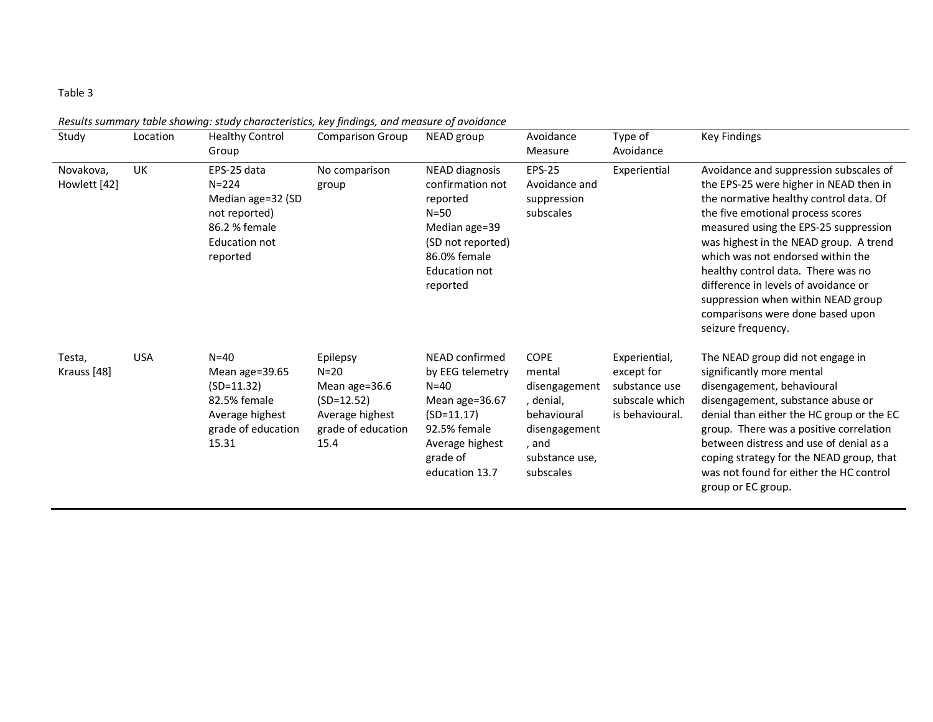| Study                     | Location   | <b>Healthy Control</b><br>Group                                                                                 | <b>Comparison Group</b>                                                                              | NEAD group                                                                                                                                           | Avoidance<br>Measure                                                                                                        | Type of<br>Avoidance                                                              | <b>Key Findings</b>                                                                                                                                                                                                                                                                                                                                                                                                                                                   |
|---------------------------|------------|-----------------------------------------------------------------------------------------------------------------|------------------------------------------------------------------------------------------------------|------------------------------------------------------------------------------------------------------------------------------------------------------|-----------------------------------------------------------------------------------------------------------------------------|-----------------------------------------------------------------------------------|-----------------------------------------------------------------------------------------------------------------------------------------------------------------------------------------------------------------------------------------------------------------------------------------------------------------------------------------------------------------------------------------------------------------------------------------------------------------------|
| Novakova,<br>Howlett [42] | UK         | EPS-25 data<br>$N = 224$<br>Median age=32 (SD<br>not reported)<br>86.2 % female<br>Education not<br>reported    | No comparison<br>group                                                                               | NEAD diagnosis<br>confirmation not<br>reported<br>$N = 50$<br>Median age=39<br>(SD not reported)<br>86.0% female<br><b>Education not</b><br>reported | <b>EPS-25</b><br>Avoidance and<br>suppression<br>subscales                                                                  | Experiential                                                                      | Avoidance and suppression subscales of<br>the EPS-25 were higher in NEAD then in<br>the normative healthy control data. Of<br>the five emotional process scores<br>measured using the EPS-25 suppression<br>was highest in the NEAD group. A trend<br>which was not endorsed within the<br>healthy control data. There was no<br>difference in levels of avoidance or<br>suppression when within NEAD group<br>comparisons were done based upon<br>seizure frequency. |
| Testa,<br>Krauss [48]     | <b>USA</b> | $N = 40$<br>Mean age= $39.65$<br>$(SD=11.32)$<br>82.5% female<br>Average highest<br>grade of education<br>15.31 | Epilepsy<br>$N=20$<br>Mean age=36.6<br>$(SD=12.52)$<br>Average highest<br>grade of education<br>15.4 | NEAD confirmed<br>by EEG telemetry<br>$N=40$<br>Mean age=36.67<br>$(SD=11.17)$<br>92.5% female<br>Average highest<br>grade of<br>education 13.7      | <b>COPE</b><br>mental<br>disengagement<br>, denial,<br>behavioural<br>disengagement<br>, and<br>substance use,<br>subscales | Experiential,<br>except for<br>substance use<br>subscale which<br>is behavioural. | The NEAD group did not engage in<br>significantly more mental<br>disengagement, behavioural<br>disengagement, substance abuse or<br>denial than either the HC group or the EC<br>group. There was a positive correlation<br>between distress and use of denial as a<br>coping strategy for the NEAD group, that<br>was not found for either the HC control<br>group or EC group.                                                                                      |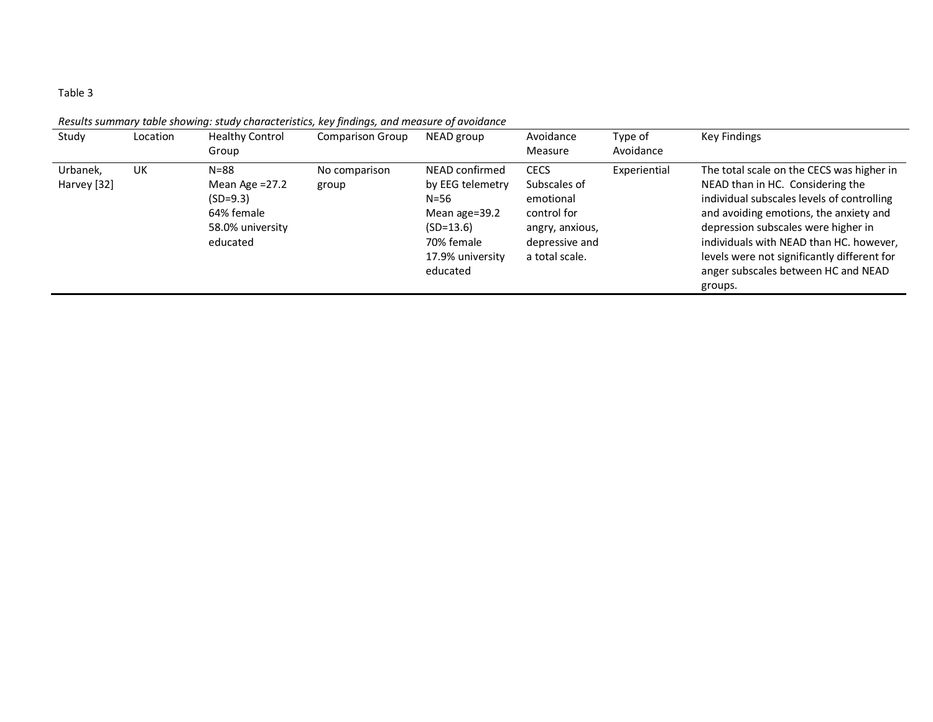| Study                   | Location | <b>Healthy Control</b><br>Group                                                          | <b>Comparison Group</b> | NEAD group                                                                                                                   | Avoidance<br>Measure                                                                                           | Type of<br>Avoidance | <b>Key Findings</b>                                                                                                                                                                                                                                                                                                                                      |
|-------------------------|----------|------------------------------------------------------------------------------------------|-------------------------|------------------------------------------------------------------------------------------------------------------------------|----------------------------------------------------------------------------------------------------------------|----------------------|----------------------------------------------------------------------------------------------------------------------------------------------------------------------------------------------------------------------------------------------------------------------------------------------------------------------------------------------------------|
| Urbanek,<br>Harvey [32] | UK       | $N = 88$<br>Mean Age $=27.2$<br>$(SD=9.3)$<br>64% female<br>58.0% university<br>educated | No comparison<br>group  | NEAD confirmed<br>by EEG telemetry<br>$N = 56$<br>Mean age=39.2<br>$(SD=13.6)$<br>70% female<br>17.9% university<br>educated | <b>CECS</b><br>Subscales of<br>emotional<br>control for<br>angry, anxious,<br>depressive and<br>a total scale. | Experiential         | The total scale on the CECS was higher in<br>NEAD than in HC. Considering the<br>individual subscales levels of controlling<br>and avoiding emotions, the anxiety and<br>depression subscales were higher in<br>individuals with NEAD than HC. however,<br>levels were not significantly different for<br>anger subscales between HC and NEAD<br>groups. |

*Results summary table showing: study characteristics, key findings, and measure of avoidance*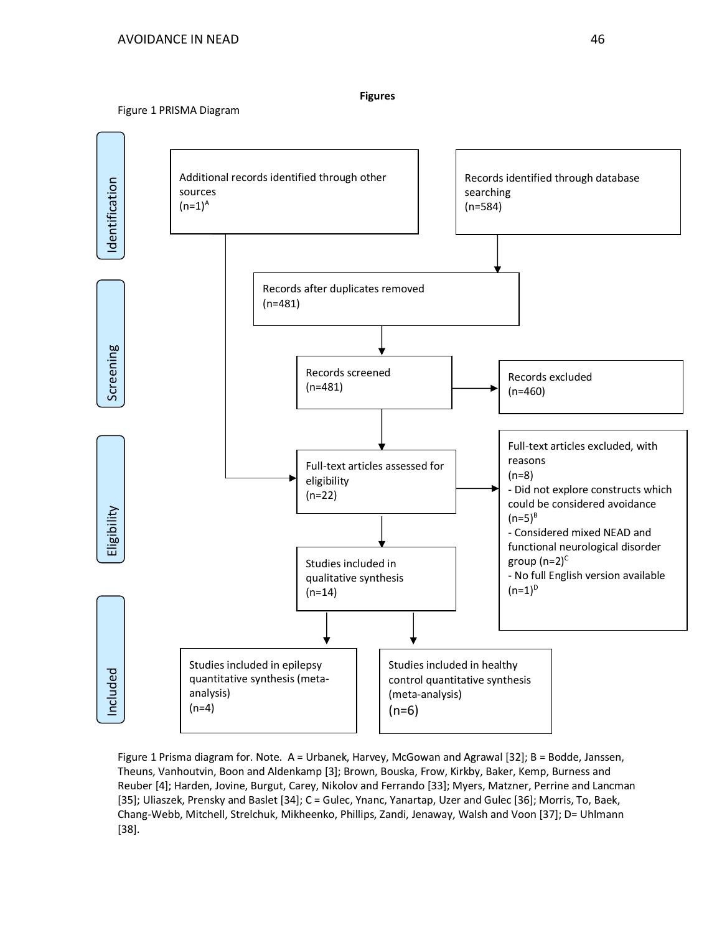#### Figure 1 PRISMA Diagram



**Figures**

Figure 1 Prisma diagram for. Note. A = Urbanek, Harvey, McGowan and Agrawal [32]; B = Bodde, Janssen, Theuns, Vanhoutvin, Boon and Aldenkamp [3]; Brown, Bouska, Frow, Kirkby, Baker, Kemp, Burness and Reuber [4]; Harden, Jovine, Burgut, Carey, Nikolov and Ferrando [33]; Myers, Matzner, Perrine and Lancman [35]; Uliaszek, Prensky and Baslet [34]; C = Gulec, Ynanc, Yanartap, Uzer and Gulec [36]; Morris, To, Baek, Chang-Webb, Mitchell, Strelchuk, Mikheenko, Phillips, Zandi, Jenaway, Walsh and Voon [37]; D= Uhlmann [38].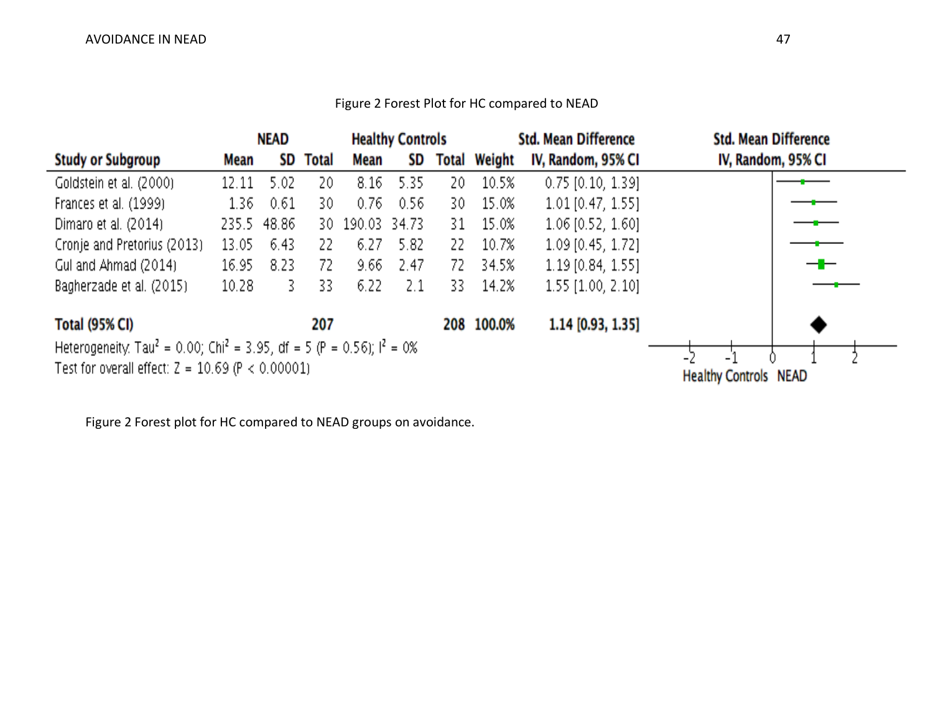### Figure 2 Forest Plot for HC compared to NEAD



Figure 2 Forest plot for HC compared to NEAD groups on avoidance.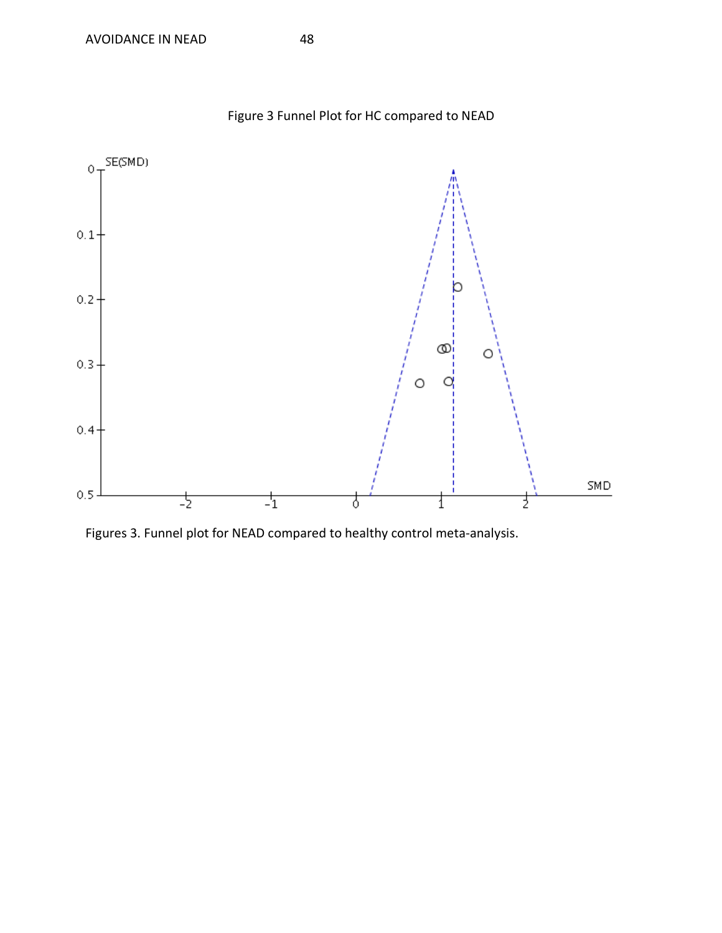

Figure 3 Funnel Plot for HC compared to NEAD

Figures 3. Funnel plot for NEAD compared to healthy control meta-analysis.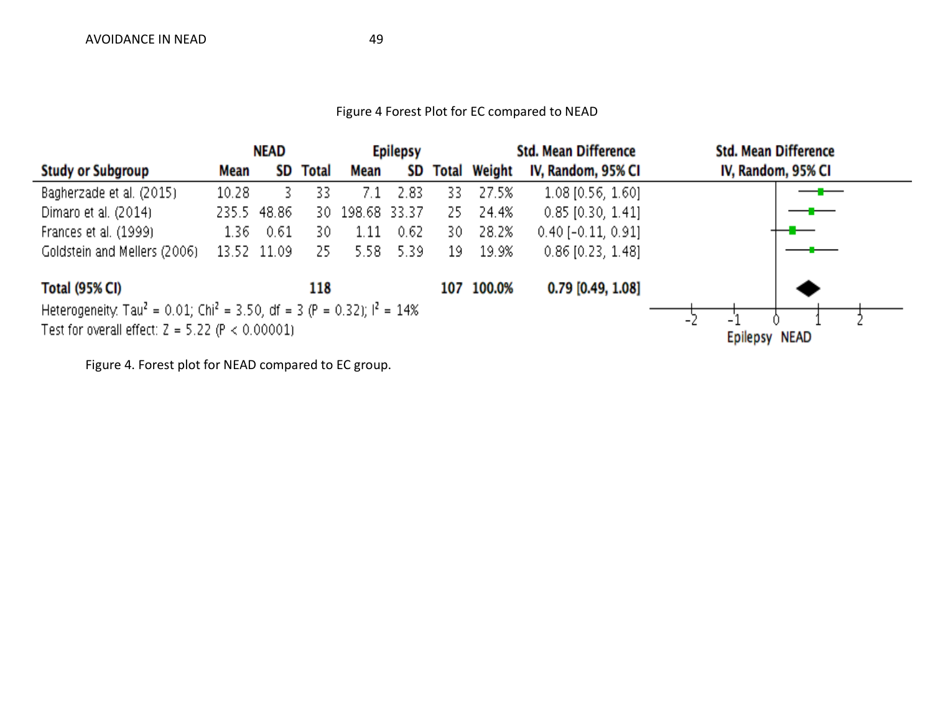### Figure 4 Forest Plot for EC compared to NEAD



Figure 4. Forest plot for NEAD compared to EC group.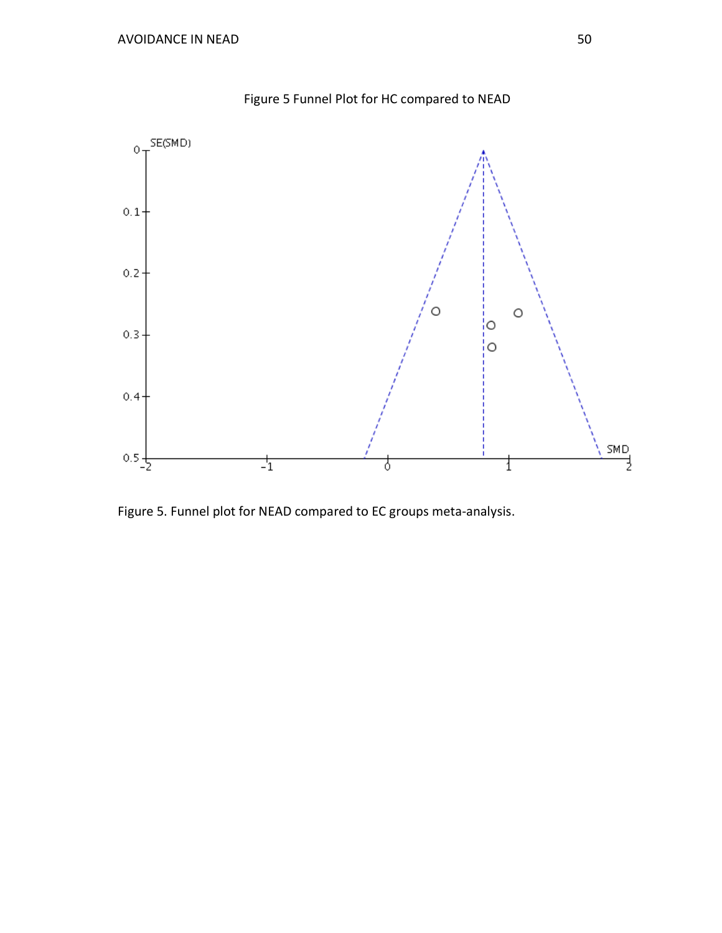

Figure 5 Funnel Plot for HC compared to NEAD

Figure 5. Funnel plot for NEAD compared to EC groups meta-analysis.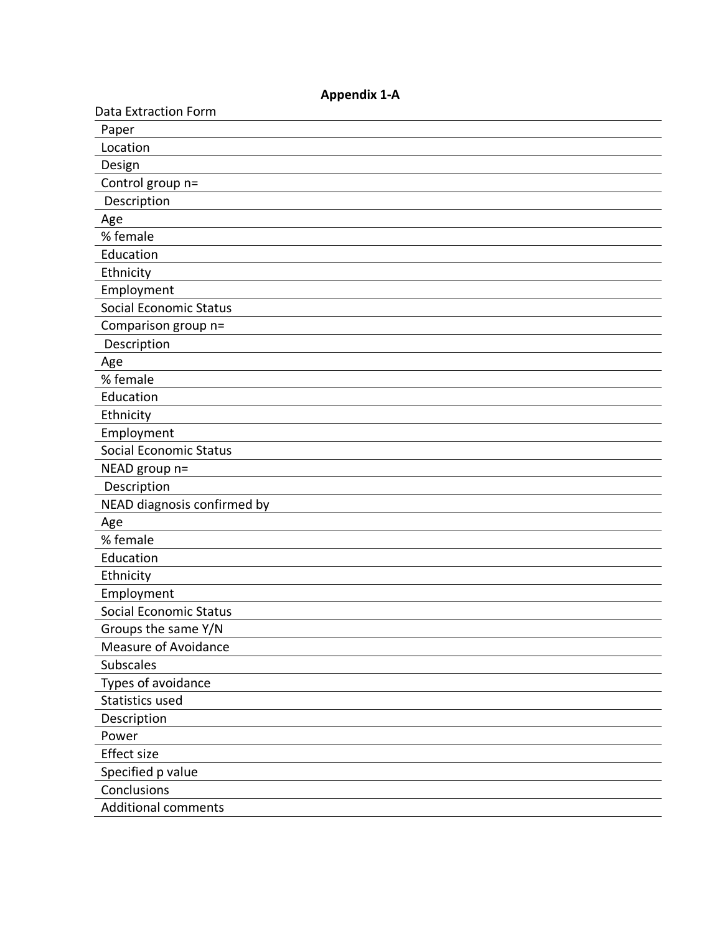| <b>Data Extraction Form</b>   |
|-------------------------------|
| Paper                         |
| Location                      |
| Design                        |
| Control group n=              |
| Description                   |
| Age                           |
| % female                      |
| Education                     |
| Ethnicity                     |
| Employment                    |
| Social Economic Status        |
| Comparison group n=           |
| Description                   |
| Age                           |
| % female                      |
| Education                     |
| Ethnicity                     |
| Employment                    |
| <b>Social Economic Status</b> |
| NEAD group n=                 |
| Description                   |
| NEAD diagnosis confirmed by   |
| Age                           |
| % female                      |
| Education                     |
| Ethnicity                     |
| Employment                    |
| <b>Social Economic Status</b> |
| Groups the same Y/N           |
| <b>Measure of Avoidance</b>   |
| <b>Subscales</b>              |
| Types of avoidance            |
| Statistics used               |
| Description                   |
| Power                         |
| <b>Effect size</b>            |
| Specified p value             |
| Conclusions                   |
| <b>Additional comments</b>    |

**Appendix 1-A**